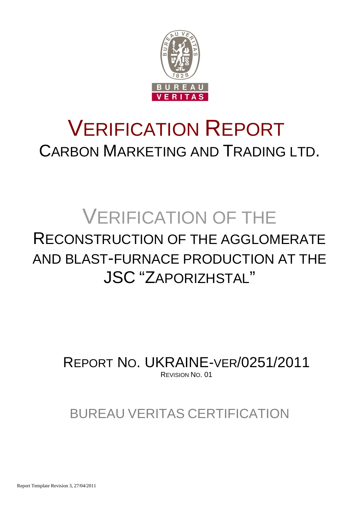

## VERIFICATION REPORT CARBON MARKETING AND TRADING LTD.

## VERIFICATION OF THE RECONSTRUCTION OF THE AGGLOMERATE AND BLAST-FURNACE PRODUCTION AT THE

## JSC "ZAPORIZHSTAL"

REPORT NO. UKRAINE-VER/0251/2011 REVISION NO. 01

### BUREAU VERITAS CERTIFICATION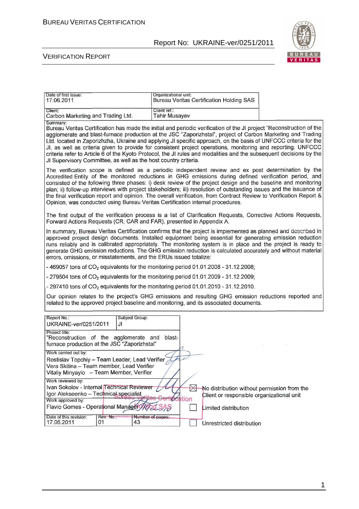

#### VERIFICATION REPORT

| Date of first issue:<br>17.06.2011                                                                                                                                   | Organizational unit:<br><b>Bureau Veritas Certification Holding SAS</b>                                                                                                                                                                                                                                                                                                                                                                                                                                                                                                                      |  |
|----------------------------------------------------------------------------------------------------------------------------------------------------------------------|----------------------------------------------------------------------------------------------------------------------------------------------------------------------------------------------------------------------------------------------------------------------------------------------------------------------------------------------------------------------------------------------------------------------------------------------------------------------------------------------------------------------------------------------------------------------------------------------|--|
| Client:<br>Carbon Marketing and Trading Ltd.                                                                                                                         | Client ref.:<br><b>Tahir Musayev</b>                                                                                                                                                                                                                                                                                                                                                                                                                                                                                                                                                         |  |
| Summary:<br>JI Supervisory Committee, as well as the host country criteria.                                                                                          | Bureau Veritas Certification has made the initial and periodic verification of the JI project "Reconstruction of the<br>agglomerate and blast-furnace production at the JSC "Zaporizhstal", project of Carbon Marketing and Trading<br>Ltd. located in Zaporizhzha, Ukraine and applying JI specific approach, on the basis of UNFCCC criteria for the<br>JI, as well as criteria given to provide for consistent project operations, monitoring and reporting. UNFCCC<br>criteria refer to Article 6 of the Kyoto Protocol, the JI rules and modalities and the subsequent decisions by the |  |
| Opinion, was conducted using Bureau Veritas Certification internal procedures.                                                                                       | The verification scope is defined as a periodic independent review and ex post determination by the<br>Accredited Entity of the monitored reductions in GHG emissions during defined verification period, and<br>consisted of the following three phases: i) desk review of the project design and the baseline and monitoring<br>plan; ii) follow-up interviews with project stakeholders; iii) resolution of outstanding issues and the issuance of<br>the final verification report and opinion. The overall verification, from Contract Review to Verification Report &                  |  |
| Forward Actions Requests (CR, CAR and FAR), presented in Appendix A.                                                                                                 | The first output of the verification process is a list of Clarification Requests, Corrective Actions Requests,                                                                                                                                                                                                                                                                                                                                                                                                                                                                               |  |
| errors, omissions, or misstatements, and the ERUs issued totalize:                                                                                                   | In summary, Bureau Veritas Certification confirms that the project is implemented as planned and described in<br>approved project design documents. Installed equipment being essential for generating emission reduction<br>runs reliably and is calibrated appropriately. The monitoring system is in place and the project is ready to<br>generate GHG emission reductions. The GHG emission reduction is calculated accurately and without material                                                                                                                                      |  |
| -469057 tons of $CO2$ equivalents for the monitoring period 01.01.2008 - 31.12.2008;                                                                                 |                                                                                                                                                                                                                                                                                                                                                                                                                                                                                                                                                                                              |  |
| - 279504 tons of $CO2$ equivalents for the monitoring period 01.01.2009 - 31.12.2009;                                                                                |                                                                                                                                                                                                                                                                                                                                                                                                                                                                                                                                                                                              |  |
| - 297410 tons of $CO2$ equivalents for the monitoring period 01.01.2010 - 31.12.2010.                                                                                |                                                                                                                                                                                                                                                                                                                                                                                                                                                                                                                                                                                              |  |
|                                                                                                                                                                      | Our opinion relates to the project's GHG emissions and resulting GHG emission reductions reported and<br>related to the approved project baseline and monitoring, and its associated documents.                                                                                                                                                                                                                                                                                                                                                                                              |  |
| Report No.:<br>Subject Group:<br>UKRAINE-ver/0251/2011<br>JI                                                                                                         |                                                                                                                                                                                                                                                                                                                                                                                                                                                                                                                                                                                              |  |
| Project title:<br>"Reconstruction of the agglomerate and blast-<br>furnace production at the JSC "Zaporizhstal"                                                      |                                                                                                                                                                                                                                                                                                                                                                                                                                                                                                                                                                                              |  |
| Work carried out by:<br>Rostislav Topchiy - Team Leader, Lead Verifier<br>Vera Skitina - Team member, Lead Verifier<br>Vitaliy Minyaylo - Team Member, Verifier      | C                                                                                                                                                                                                                                                                                                                                                                                                                                                                                                                                                                                            |  |
| Work reviewed by:<br>Ivan Sokolov - Internal Technical Reviewer<br>Igor Alekseenko - Technical specialist<br>Work approved by:<br>Flavio Gomes - Operational Manager | $\bowtie$<br>No distribution without permission from the<br>Client or responsible organizational unit<br>ti <i>t</i> ication                                                                                                                                                                                                                                                                                                                                                                                                                                                                 |  |
| Date of this revision:<br>Rev. No.:<br>Number of pages:<br>17.06.2011<br>01<br>43                                                                                    | Limited distribution<br>Unrestricted distribution                                                                                                                                                                                                                                                                                                                                                                                                                                                                                                                                            |  |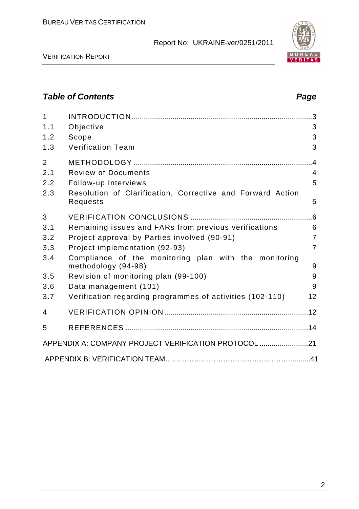

VERIFICATION REPORT

#### **Table of Contents Page 2018**

| $\mathbf{1}$<br>1.1<br>1.2<br>1.3                  | Objective<br>Scope<br><b>Verification Team</b>                                                                                                                                                                                                                                                                                                        | $\cdot$ 3<br>3<br>3<br>3                                   |
|----------------------------------------------------|-------------------------------------------------------------------------------------------------------------------------------------------------------------------------------------------------------------------------------------------------------------------------------------------------------------------------------------------------------|------------------------------------------------------------|
| $\overline{2}$<br>2.1<br>2.2<br>2.3                | <b>Review of Documents</b><br>Follow-up Interviews<br>Resolution of Clarification, Corrective and Forward Action<br>Requests                                                                                                                                                                                                                          | .4<br>$\overline{4}$<br>5<br>5                             |
| 3<br>3.1<br>3.2<br>3.3<br>3.4<br>3.5<br>3.6<br>3.7 | Remaining issues and FARs from previous verifications<br>Project approval by Parties involved (90-91)<br>Project implementation (92-93)<br>Compliance of the monitoring plan with the monitoring<br>methodology (94-98)<br>Revision of monitoring plan (99-100)<br>Data management (101)<br>Verification regarding programmes of activities (102-110) | 6<br>$\overline{7}$<br>$\overline{7}$<br>9<br>9<br>9<br>12 |
| 4                                                  |                                                                                                                                                                                                                                                                                                                                                       |                                                            |
| 5                                                  |                                                                                                                                                                                                                                                                                                                                                       |                                                            |
|                                                    | APPENDIX A: COMPANY PROJECT VERIFICATION PROTOCOL 21                                                                                                                                                                                                                                                                                                  |                                                            |
|                                                    |                                                                                                                                                                                                                                                                                                                                                       |                                                            |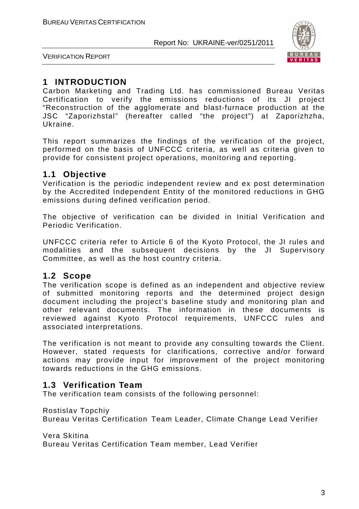

VERIFICATION REPORT

#### **1 INTRODUCTION**

Carbon Marketing and Trading Ltd. has commissioned Bureau Veritas Certification to verify the emissions reductions of its JI project "Reconstruction of the agglomerate and blast-furnace production at the JSC "Zaporizhstal" (hereafter called "the project") at Zaporizhzha, Ukraine.

This report summarizes the findings of the verification of the project, performed on the basis of UNFCCC criteria, as well as criteria given to provide for consistent project operations, monitoring and reporting.

#### **1.1 Objective**

Verification is the periodic independent review and ex post determination by the Accredited Independent Entity of the monitored reductions in GHG emissions during defined verification period.

The objective of verification can be divided in Initial Verification and Periodic Verification.

UNFCCC criteria refer to Article 6 of the Kyoto Protocol, the JI rules and modalities and the subsequent decisions by the JI Supervisory Committee, as well as the host country criteria.

#### **1.2 Scope**

The verification scope is defined as an independent and objective review of submitted monitoring reports and the determined project design document including the project's baseline study and monitoring plan and other relevant documents. The information in these documents is reviewed against Kyoto Protocol requirements, UNFCCC rules and associated interpretations.

The verification is not meant to provide any consulting towards the Client. However, stated requests for clarifications, corrective and/or forward actions may provide input for improvement of the project monitoring towards reductions in the GHG emissions.

#### **1.3 Verification Team**

The verification team consists of the following personnel:

Rostislav Topchiy

Bureau Veritas Certification Team Leader, Climate Change Lead Verifier

Vera Skitina

Bureau Veritas Certification Team member, Lead Verifier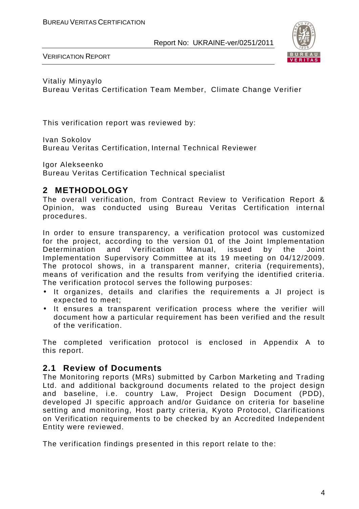

VERIFICATION REPORT

Vitaliy Minyaylo Bureau Veritas Certification Team Member, Climate Change Verifier

This verification report was reviewed by:

Ivan Sokolov Bureau Veritas Certification, Internal Technical Reviewer

Igor Alekseenko Bureau Veritas Certification Technical specialist

#### **2 METHODOLOGY**

The overall verification, from Contract Review to Verification Report & Opinion, was conducted using Bureau Veritas Certification internal procedures.

In order to ensure transparency, a verification protocol was customized for the project, according to the version 01 of the Joint Implementation Determination and Verification Manual, issued by the Joint Implementation Supervisory Committee at its 19 meeting on 04/12/2009. The protocol shows, in a transparent manner, criteria (requirements), means of verification and the results from verifying the identified criteria. The verification protocol serves the following purposes:

- It organizes, details and clarifies the requirements a JI project is expected to meet;
- It ensures a transparent verification process where the verifier will document how a particular requirement has been verified and the result of the verification.

The completed verification protocol is enclosed in Appendix A to this report.

#### **2.1 Review of Documents**

The Monitoring reports (MRs) submitted by Carbon Marketing and Trading Ltd. and additional background documents related to the project design and baseline, i.e. country Law, Project Design Document (PDD), developed JI specific approach and/or Guidance on criteria for baseline setting and monitoring, Host party criteria, Kyoto Protocol, Clarifications on Verification requirements to be checked by an Accredited Independent Entity were reviewed.

The verification findings presented in this report relate to the: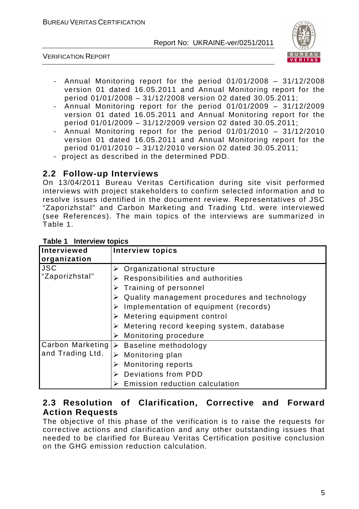

VERIFICATION REPORT

- Annual Monitoring report for the period 01/01/2008 31/12/2008 version 01 dated 16.05.2011 and Annual Monitoring report for the period 01/01/2008 – 31/12/2008 version 02 dated 30.05.2011;
- Annual Monitoring report for the period 01/01/2009 31/12/2009 version 01 dated 16.05.2011 and Annual Monitoring report for the period 01/01/2009 – 31/12/2009 version 02 dated 30.05.2011;
- Annual Monitoring report for the period 01/01/2010 31/12/2010 version 01 dated 16.05.2011 and Annual Monitoring report for the period 01/01/2010 – 31/12/2010 version 02 dated 30.05.2011;
- project as described in the determined PDD.

#### **2.2 Follow-up Interviews**

On 13/04/2011 Bureau Veritas Certification during site visit performed interviews with project stakeholders to confirm selected information and to resolve issues identified in the document review. Representatives of JSC "Zaporizhstal" and Carbon Marketing and Trading Ltd. were interviewed (see References). The main topics of the interviews are summarized in Table 1.

| Interviewed      | <b>Interview topics</b>                           |
|------------------|---------------------------------------------------|
| organization     |                                                   |
| <b>JSC</b>       | Organizational structure                          |
| "Zaporizhstal"   | Responsibilities and authorities                  |
|                  | Training of personnel                             |
|                  | Quality management procedures and technology<br>➤ |
|                  | Implementation of equipment (records)             |
|                  | Metering equipment control                        |
|                  | Metering record keeping system, database          |
|                  | $\triangleright$ Monitoring procedure             |
|                  | Carbon Marketing  > Baseline methodology          |
| and Trading Ltd. | Monitoring plan                                   |
|                  | <b>Monitoring reports</b><br>➤                    |
|                  | <b>Deviations from PDD</b>                        |
|                  | Emission reduction calculation                    |

#### **Table 1 Interview topics**

#### **2.3 Resolution of Clarification, Corrective and Forward Action Requests**

The objective of this phase of the verification is to raise the requests for corrective actions and clarification and any other outstanding issues that needed to be clarified for Bureau Veritas Certification positive conclusion on the GHG emission reduction calculation.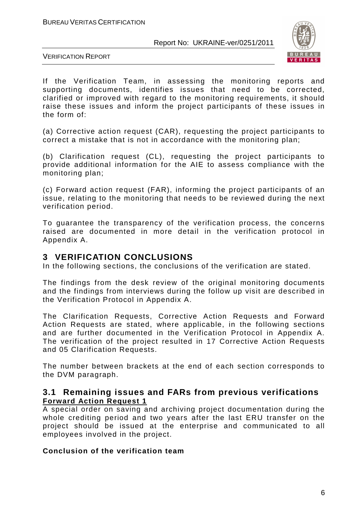

VERIFICATION REPORT

If the Verification Team, in assessing the monitoring reports and supporting documents, identifies issues that need to be corrected, clarified or improved with regard to the monitoring requirements, it should raise these issues and inform the project participants of these issues in the form of:

(a) Corrective action request (CAR), requesting the project participants to correct a mistake that is not in accordance with the monitoring plan;

(b) Clarification request (CL), requesting the project participants to provide additional information for the AIE to assess compliance with the monitoring plan;

(c) Forward action request (FAR), informing the project participants of an issue, relating to the monitoring that needs to be reviewed during the next verification period.

To guarantee the transparency of the verification process, the concerns raised are documented in more detail in the verification protocol in Appendix A.

#### **3 VERIFICATION CONCLUSIONS**

In the following sections, the conclusions of the verification are stated.

The findings from the desk review of the original monitoring documents and the findings from interviews during the follow up visit are described in the Verification Protocol in Appendix A.

The Clarification Requests, Corrective Action Requests and Forward Action Requests are stated, where applicable, in the following sections and are further documented in the Verification Protocol in Appendix A. The verification of the project resulted in 17 Corrective Action Requests and 05 Clarification Requests.

The number between brackets at the end of each section corresponds to the DVM paragraph.

#### **3.1 Remaining issues and FARs from previous verifications Forward Action Request 1**

A special order on saving and archiving project documentation during the whole crediting period and two years after the last ERU transfer on the project should be issued at the enterprise and communicated to all employees involved in the project.

#### **Conclusion of the verification team**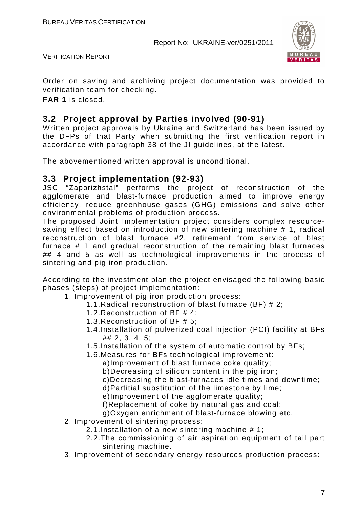

VERIFICATION REPORT

Order on saving and archiving project documentation was provided to verification team for checking.

**FAR 1** is closed.

#### **3.2 Project approval by Parties involved (90-91)**

Written project approvals by Ukraine and Switzerland has been issued by the DFPs of that Party when submitting the first verification report in accordance with paragraph 38 of the JI guidelines, at the latest.

The abovementioned written approval is unconditional.

#### **3.3 Project implementation (92-93)**

JSC "Zaporizhstal" performs the project of reconstruction of the agglomerate and blast-furnace production aimed to improve energy efficiency, reduce greenhouse gases (GHG) emissions and solve other environmental problems of production process.

The proposed Joint Implementation project considers complex resourcesaving effect based on introduction of new sintering machine # 1, radical reconstruction of blast furnace #2, retirement from service of blast furnace # 1 and gradual reconstruction of the remaining blast furnaces ## 4 and 5 as well as technological improvements in the process of sintering and pig iron production.

According to the investment plan the project envisaged the following basic phases (steps) of project implementation:

- 1. Improvement of pig iron production process:
	- 1.1.Radical reconstruction of blast furnace (BF) # 2;
	- 1.2.Reconstruction of BF # 4;
	- 1.3.Reconstruction of BF # 5;
	- 1.4.Installation of pulverized coal injection (PCI) facility at BFs ## 2, 3, 4, 5;
	- 1.5.Installation of the system of automatic control by BFs;
	- 1.6.Measures for BFs technological improvement:

a)Improvement of blast furnace coke quality;

b)Decreasing of silicon content in the pig iron;

- c)Decreasing the blast-furnaces idle times and downtime;
- d)Partitial substitution of the limestone by lime;
- e)Improvement of the agglomerate quality;

f)Replacement of coke by natural gas and coal;

g)Oxygen enrichment of blast-furnace blowing etc.

- 2. Improvement of sintering process:
	- 2.1.Installation of a new sintering machine # 1;
	- 2.2.The commissioning of air aspiration equipment of tail part sintering machine.
- 3. Improvement of secondary energy resources production process: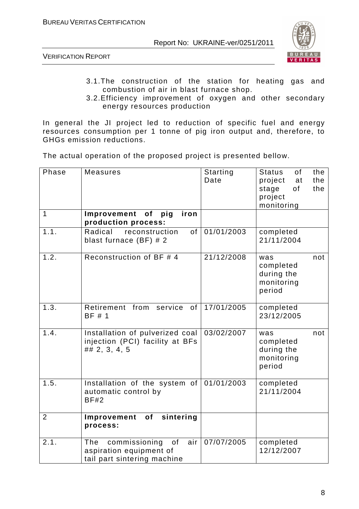



- 3.1.The construction of the station for heating gas and combustion of air in blast furnace shop.
- 3.2.Efficiency improvement of oxygen and other secondary energy resources production

In general the JI project led to reduction of specific fuel and energy resources consumption per 1 tonne of pig iron output and, therefore, to GHGs emission reductions.

The actual operation of the proposed project is presented bellow.

| Phase          | <b>Measures</b>                                                                             | <b>Starting</b><br>Date | <b>Status</b><br>the<br>of<br>the<br>project<br>at<br>stage<br>of<br>the<br>project<br>monitoring |
|----------------|---------------------------------------------------------------------------------------------|-------------------------|---------------------------------------------------------------------------------------------------|
| 1              | Improvement of pig<br>iron<br>production process:                                           |                         |                                                                                                   |
| 1.1.           | Radical<br>reconstruction<br>0f<br>blast furnace $(BF)$ # 2                                 | 01/01/2003              | completed<br>21/11/2004                                                                           |
| 1.2.           | Reconstruction of BF # 4                                                                    | 21/12/2008              | not<br>was<br>completed<br>during the<br>monitoring<br>period                                     |
| 1.3.           | Retirement from<br>service<br>of<br>BF # 1                                                  | 17/01/2005              | completed<br>23/12/2005                                                                           |
| 1.4.           | Installation of pulverized coal<br>injection (PCI) facility at BFs<br>$\#$ # 2, 3, 4, 5     | 03/02/2007              | not<br>was<br>completed<br>during the<br>monitoring<br>period                                     |
| 1.5.           | Installation of the system of<br>automatic control by<br>BF#2                               | 01/01/2003              | completed<br>21/11/2004                                                                           |
| $\overline{2}$ | sintering<br>Improvement<br>of<br>process:                                                  |                         |                                                                                                   |
| 2.1.           | of<br>air<br>The<br>commissioning<br>aspiration equipment of<br>tail part sintering machine | 07/07/2005              | completed<br>12/12/2007                                                                           |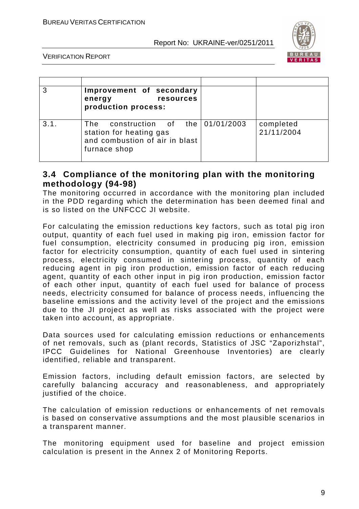

VERIFICATION REPORT

|      | Improvement of secondary<br><b>resources</b><br>energy<br>production process:                                     |                         |
|------|-------------------------------------------------------------------------------------------------------------------|-------------------------|
| 3.1. | The construction of the $01/01/2003$<br>station for heating gas<br>and combustion of air in blast<br>furnace shop | completed<br>21/11/2004 |

#### **3.4 Compliance of the monitoring plan with the monitoring methodology (94-98)**

The monitoring occurred in accordance with the monitoring plan included in the PDD regarding which the determination has been deemed final and is so listed on the UNFCCC JI website.

For calculating the emission reductions key factors, such as total pig iron output, quantity of each fuel used in making pig iron, emission factor for fuel consumption, electricity consumed in producing pig iron, emission factor for electricity consumption, quantity of each fuel used in sintering process, electricity consumed in sintering process, quantity of each reducing agent in pig iron production, emission factor of each reducing agent, quantity of each other input in pig iron production, emission factor of each other input, quantity of each fuel used for balance of process needs, electricity consumed for balance of process needs, influencing the baseline emissions and the activity level of the project and the emissions due to the JI project as well as risks associated with the project were taken into account, as appropriate.

Data sources used for calculating emission reductions or enhancements of net removals, such as (plant records, Statistics of JSC "Zaporizhstal", IPCC Guidelines for National Greenhouse Inventories) are clearly identified, reliable and transparent.

Emission factors, including default emission factors, are selected by carefully balancing accuracy and reasonableness, and appropriately justified of the choice.

The calculation of emission reductions or enhancements of net removals is based on conservative assumptions and the most plausible scenarios in a transparent manner.

The monitoring equipment used for baseline and project emission calculation is present in the Annex 2 of Monitoring Reports.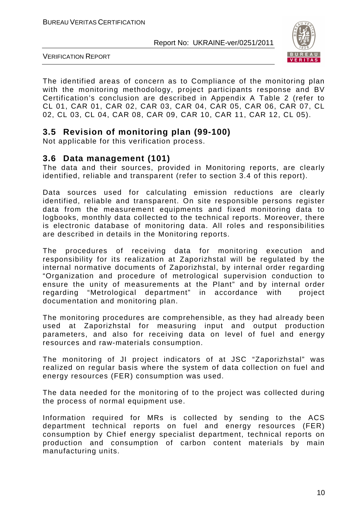

VERIFICATION REPORT

The identified areas of concern as to Compliance of the monitoring plan with the monitoring methodology, project participants response and BV Certification's conclusion are described in Appendix A Table 2 (refer to CL 01, CAR 01, CAR 02, CAR 03, CAR 04, CAR 05, CAR 06, CAR 07, CL 02, CL 03, CL 04, CAR 08, CAR 09, CAR 10, CAR 11, CAR 12, CL 05).

#### **3.5 Revision of monitoring plan (99-100)**

Not applicable for this verification process.

#### **3.6 Data management (101)**

The data and their sources, provided in Monitoring reports, are clearly identified, reliable and transparent (refer to section 3.4 of this report).

Data sources used for calculating emission reductions are clearly identified, reliable and transparent. On site responsible persons register data from the measurement equipments and fixed monitoring data to logbooks, monthly data collected to the technical reports. Moreover, there is electronic database of monitoring data. All roles and responsibilities are described in details in the Monitoring reports.

The procedures of receiving data for monitoring execution and responsibility for its realization at Zaporizhstal will be regulated by the internal normative documents of Zaporizhstal, by internal order regarding "Organization and procedure of metrological supervision conduction to ensure the unity of measurements at the Plant" and by internal order regarding "Metrological department" in accordance with project documentation and monitoring plan.

The monitoring procedures are comprehensible, as they had already been used at Zaporizhstal for measuring input and output production parameters, and also for receiving data on level of fuel and energy resources and raw-materials consumption.

The monitoring of JI project indicators of at JSC "Zaporizhstal" was realized on regular basis where the system of data collection on fuel and energy resources (FER) consumption was used.

The data needed for the monitoring of to the project was collected during the process of normal equipment use.

Information required for MRs is collected by sending to the ACS department technical reports on fuel and energy resources (FER) consumption by Chief energy specialist department, technical reports on production and consumption of carbon content materials by main manufacturing units.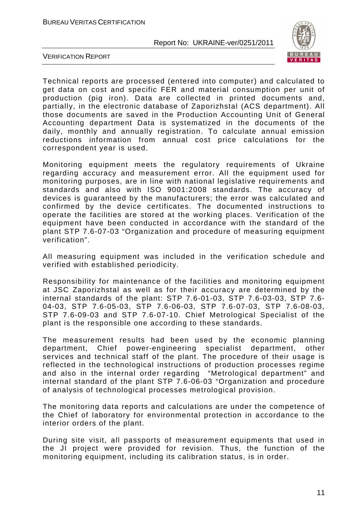

VERIFICATION REPORT

Technical reports are processed (entered into computer) and calculated to get data on cost and specific FER and material consumption per unit of production (pig iron). Data are collected in printed documents and, partially, in the electronic database of Zaporizhstal (ACS department). All those documents are saved in the Production Accounting Unit of General Accounting department Data is systematized in the documents of the daily, monthly and annually registration. To calculate annual emission reductions information from annual cost price calculations for the correspondent year is used.

Monitoring equipment meets the regulatory requirements of Ukraine regarding accuracy and measurement error. All the equipment used for monitoring purposes, are in line with national legislative requirements and standards and also with ISO 9001:2008 standards. The accuracy of devices is guaranteed by the manufacturers; the error was calculated and confirmed by the device certificates. The documented instructions to operate the facilities are stored at the working places. Verification of the equipment have been conducted in accordance with the standard of the plant STP 7.6-07-03 "Organization and procedure of measuring equipment verification".

All measuring equipment was included in the verification schedule and verified with established periodicity.

Responsibility for maintenance of the facilities and monitoring equipment at JSC Zaporizhstal as well as for their accuracy are determined by the internal standards of the plant: STP 7.6-01-03, STP 7.6-03-03, STP 7.6- 04-03, STP 7.6-05-03, STP 7.6-06-03, STP 7.6-07-03, STP 7.6-08-03, STP 7.6-09-03 and STP 7.6-07-10. Chief Metrological Specialist of the plant is the responsible one according to these standards.

The measurement results had been used by the economic planning department, Chief power-engineering specialist department, other services and technical staff of the plant. The procedure of their usage is reflected in the technological instructions of production processes regime and also in the internal order regarding "Metrological department" and internal standard of the plant STP 7.6-06-03 "Organization and procedure of analysis of technological processes metrological provision.

The monitoring data reports and calculations are under the competence of the Chief of laboratory for environmental protection in accordance to the interior orders of the plant.

During site visit, all passports of measurement equipments that used in the JI project were provided for revision. Thus, the function of the monitoring equipment, including its calibration status, is in order.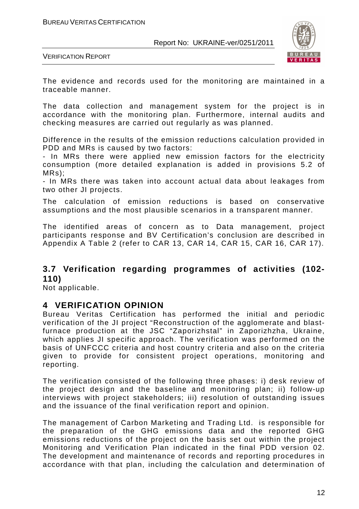

VERIFICATION REPORT

The evidence and records used for the monitoring are maintained in a traceable manner.

The data collection and management system for the project is in accordance with the monitoring plan. Furthermore, internal audits and checking measures are carried out regularly as was planned.

Difference in the results of the emission reductions calculation provided in PDD and MRs is caused by two factors:

- In MRs there were applied new emission factors for the electricity consumption (more detailed explanation is added in provisions 5.2 of MRs);

- In MRs there was taken into account actual data about leakages from two other JI projects.

The calculation of emission reductions is based on conservative assumptions and the most plausible scenarios in a transparent manner.

The identified areas of concern as to Data management, project participants response and BV Certification's conclusion are described in Appendix A Table 2 (refer to CAR 13, CAR 14, CAR 15, CAR 16, CAR 17).

#### **3.7 Verification regarding programmes of activities (102- 110)**

Not applicable.

#### **4 VERIFICATION OPINION**

Bureau Veritas Certification has performed the initial and periodic verification of the JI project "Reconstruction of the agglomerate and blastfurnace production at the JSC "Zaporizhstal" in Zaporizhzha, Ukraine, which applies JI specific approach. The verification was performed on the basis of UNFCCC criteria and host country criteria and also on the criteria given to provide for consistent project operations, monitoring and reporting.

The verification consisted of the following three phases: i) desk review of the project design and the baseline and monitoring plan; ii) follow-up interviews with project stakeholders; iii) resolution of outstanding issues and the issuance of the final verification report and opinion.

The management of Carbon Marketing and Trading Ltd. is responsible for the preparation of the GHG emissions data and the reported GHG emissions reductions of the project on the basis set out within the project Monitoring and Verification Plan indicated in the final PDD version 02. The development and maintenance of records and reporting procedures in accordance with that plan, including the calculation and determination of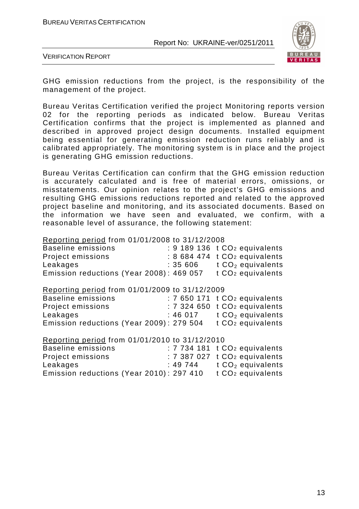

VERIFICATION REPORT

GHG emission reductions from the project, is the responsibility of the management of the project.

Bureau Veritas Certification verified the project Monitoring reports version 02 for the reporting periods as indicated below. Bureau Veritas Certification confirms that the project is implemented as planned and described in approved project design documents. Installed equipment being essential for generating emission reduction runs reliably and is calibrated appropriately. The monitoring system is in place and the project is generating GHG emission reductions.

Bureau Veritas Certification can confirm that the GHG emission reduction is accurately calculated and is free of material errors, omissions, or misstatements. Our opinion relates to the project's GHG emissions and resulting GHG emissions reductions reported and related to the approved project baseline and monitoring, and its associated documents. Based on the information we have seen and evaluated, we confirm, with a reasonable level of assurance, the following statement:

Reporting period from 01/01/2008 to 31/12/2008

| Baseline emissions                       |         | $: 9$ 189 136 t CO <sub>2</sub> equivalents |
|------------------------------------------|---------|---------------------------------------------|
| Project emissions                        |         | $: 8684474$ t $CO2$ equivalents             |
| Leakages                                 | : 35606 | t CO <sub>2</sub> equivalents               |
| Emission reductions (Year 2008): 469 057 |         | t CO <sub>2</sub> equivalents               |

Reporting period from 01/01/2009 to 31/12/2009

| Baseline emissions                       |         | $: 7650171$ t $CO2$ equivalents |
|------------------------------------------|---------|---------------------------------|
| Project emissions                        |         | $: 7324650$ t $CO2$ equivalents |
| Leakages                                 | :46 017 | t $CO2$ equivalents             |
| Emission reductions (Year 2009): 279 504 |         | t CO <sub>2</sub> equivalents   |

Reporting period from 01/01/2010 to 31/12/2010

| Baseline emissions                       |         | $: 7734181$ t CO <sub>2</sub> equivalents |
|------------------------------------------|---------|-------------------------------------------|
| Project emissions                        |         | $: 7387027$ t $CO2$ equivalents           |
| Leakages                                 | :49 744 | t $CO2$ equivalents                       |
| Emission reductions (Year 2010): 297 410 |         | t CO <sub>2</sub> equivalents             |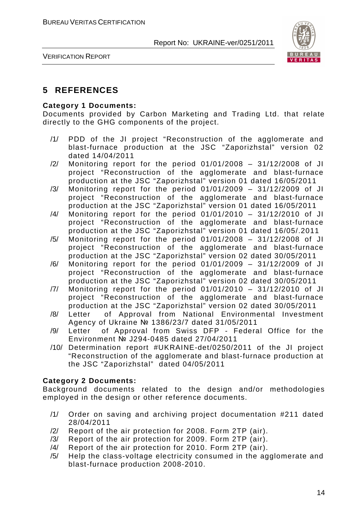

VERIFICATION REPORT

#### **5 REFERENCES**

#### **Category 1 Documents:**

Documents provided by Carbon Marketing and Trading Ltd. that relate directly to the GHG components of the project.

- /1/ PDD of the JI project "Reconstruction of the agglomerate and blast-furnace production at the JSC "Zaporizhstal" version 02 dated 14/04/2011
- /2/ Monitoring report for the period 01/01/2008 31/12/2008 of JI project "Reconstruction of the agglomerate and blast-furnace production at the JSC "Zaporizhstal" version 01 dated 16/05/2011
- /3/ Monitoring report for the period 01/01/2009 31/12/2009 of JI project "Reconstruction of the agglomerate and blast-furnace production at the JSC "Zaporizhstal" version 01 dated 16/05/2011
- /4/ Monitoring report for the period 01/01/2010 31/12/2010 of JI project "Reconstruction of the agglomerate and blast-furnace production at the JSC "Zaporizhstal" version 01 dated 16/05/.2011
- /5/ Monitoring report for the period 01/01/2008 31/12/2008 of JI project "Reconstruction of the agglomerate and blast-furnace production at the JSC "Zaporizhstal" version 02 dated 30/05/2011
- /6/ Monitoring report for the period 01/01/2009 31/12/2009 of JI project "Reconstruction of the agglomerate and blast-furnace production at the JSC "Zaporizhstal" version 02 dated 30/05/2011
- /7/ Monitoring report for the period 01/01/2010 31/12/2010 of JI project "Reconstruction of the agglomerate and blast-furnace production at the JSC "Zaporizhstal" version 02 dated 30/05/2011
- /8/ Letter of Approval from National Environmental Investment Agency of Ukraine № 1386/23/7 dated 31/05/2011
- /9/ Letter of Approval from Swiss DFP Federal Office for the Environment № J294-0485 dated 27/04/2011
- /10/ Determination report #UKRAINE-det/0250/2011 of the JI project "Reconstruction of the agglomerate and blast-furnace production at the JSC "Zaporizhstal" dated 04/05/2011

#### **Category 2 Documents:**

Background documents related to the design and/or methodologies employed in the design or other reference documents.

- /1/ Order on saving and archiving project documentation #211 dated 28/04/2011
- /2/ Report of the air protection for 2008. Form 2TP (air).
- /3/ Report of the air protection for 2009. Form 2TP (air).
- /4/ Report of the air protection for 2010. Form 2TP (air).
- /5/ Help the class-voltage electricity consumed in the agglomerate and blast-furnace production 2008-2010.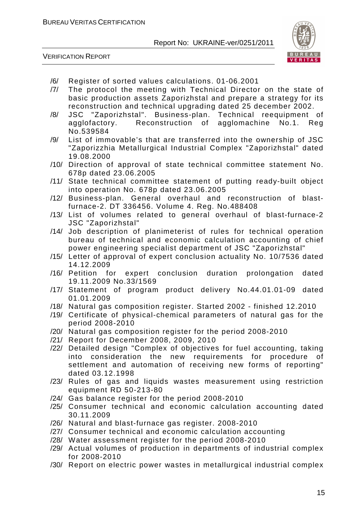VERIFICATION REPORT



- /6/ Register of sorted values calculations. 01-06.2001
- /7/ The protocol the meeting with Technical Director on the state of basic production assets Zaporizhstal and prepare a strategy for its reconstruction and technical upgrading dated 25 december 2002.
- /8/ JSC "Zaporizhstal". Business-plan. Technical reequipment of agglofactory. Reconstruction of agglomachine No.1. Reg No.539584
- /9/ List of immovable's that are transferred into the ownership of JSC "Zaporizzhia Metallurgical Industrial Complex "Zaporizhstal" dated 19.08.2000
- /10/ Direction of approval of state technical committee statement No. 678p dated 23.06.2005
- /11/ State technical committee statement of putting ready-built object into operation No. 678p dated 23.06.2005
- /12/ Business-plan. General overhaul and reconstruction of blastfurnace-2. DT 336456. Volume 4. Reg. No.488408
- /13/ List of volumes related to general overhaul of blast-furnace-2 JSC "Zaporizhstal"
- /14/ Job description of planimeterist of rules for technical operation bureau of technical and economic calculation accounting of chief power engineering specialist department of JSC "Zaporizhstal"
- /15/ Letter of approval of expert conclusion actuality No. 10/7536 dated 14.12.2009
- /16/ Petition for expert conclusion duration prolongation dated 19.11.2009 No.33/1569
- /17/ Statement of program product delivery No.44.01.01-09 dated 01.01.2009
- /18/ Natural gas composition register. Started 2002 finished 12.2010
- /19/ Certificate of physical-chemical parameters of natural gas for the period 2008-2010
- /20/ Natural gas composition register for the period 2008-2010
- /21/ Report for December 2008, 2009, 2010
- /22/ Detailed design "Complex of objectives for fuel accounting, taking into consideration the new requirements for procedure of settlement and automation of receiving new forms of reporting" dated 03.12.1998
- /23/ Rules of gas and liquids wastes measurement using restriction equipment RD 50-213-80
- /24/ Gas balance register for the period 2008-2010
- /25/ Consumer technical and economic calculation accounting dated 30.11.2009
- /26/ Natural and blast-furnace gas register. 2008-2010
- /27/ Consumer technical and economic calculation accounting
- /28/ Water assessment register for the period 2008-2010
- /29/ Actual volumes of production in departments of industrial complex for 2008-2010
- /30/ Report on electric power wastes in metallurgical industrial complex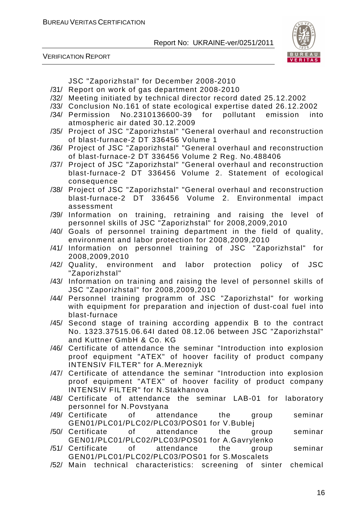



JSC "Zaporizhstal" for December 2008-2010

- /31/ Report on work of gas department 2008-2010
- /32/ Meeting initiated by technical director record dated 25.12.2002
- /33/ Conclusion No.161 of state ecological expertise dated 26.12.2002
- /34/ Permission No.2310136600-39 for pollutant emission into atmospheric air dated 30.12.2009
- /35/ Project of JSC "Zaporizhstal" "General overhaul and reconstruction of blast-furnace-2 DT 336456 Volume 1
- /36/ Project of JSC "Zaporizhstal" "General overhaul and reconstruction of blast-furnace-2 DT 336456 Volume 2 Reg. No.488406
- /37/ Project of JSC "Zaporizhstal" "General overhaul and reconstruction blast-furnace-2 DT 336456 Volume 2. Statement of ecological consequence
- /38/ Project of JSC "Zaporizhstal" "General overhaul and reconstruction blast-furnace-2 DT 336456 Volume 2. Environmental impact assessment
- /39/ Information on training, retraining and raising the level of personnel skills of JSC "Zaporizhstal" for 2008,2009,2010
- /40/ Goals of personnel training department in the field of quality, environment and labor protection for 2008,2009,2010
- /41/ Information on personnel training of JSC "Zaporizhstal" for 2008,2009,2010
- /42/ Quality, environment and labor protection policy of JSC "Zaporizhstal"
- /43/ Information on training and raising the level of personnel skills of JSC "Zaporizhstal" for 2008,2009,2010
- /44/ Personnel training programm of JSC "Zaporizhstal" for working with equipment for preparation and injection of dust-coal fuel into blast-furnace
- /45/ Second stage of training according appendix B to the contract No. 1323.37515.06.64I dated 08.12.06 between JSC "Zaporizhstal" and Kuttner GmbH & Co. KG
- /46/ Certificate of attendance the seminar "Introduction into explosion proof equipment "ATEX" of hoover facility of product company INTENSIV FILTER" for A.Merezniyk
- /47/ Certificate of attendance the seminar "Introduction into explosion proof equipment "ATEX" of hoover facility of product company INTENSIV FILTER" for N.Stakhanova
- /48/ Certificate of attendance the seminar LAB-01 for laboratory personnel for N.Povstyana
- /49/ Certificate of attendance the group seminar GEN01/PLC01/PLC02/PLC03/POS01 for V.Bublej
- /50/ Certificate of attendance the group seminar GEN01/PLC01/PLC02/PLC03/POS01 for A.Gavrylenko
- /51/ Certificate of attendance the group seminar GEN01/PLC01/PLC02/PLC03/POS01 for S.Moscalets
- /52/ Main technical characteristics: screening of sinter chemical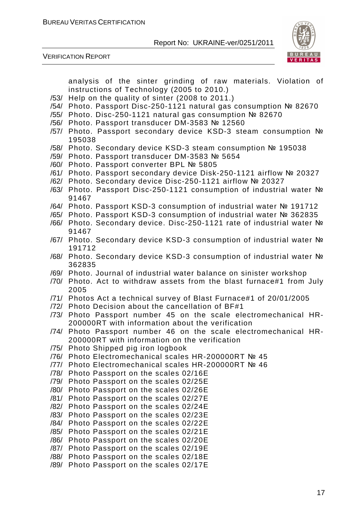

VERIFICATION REPORT

analysis of the sinter grinding of raw materials. Violation of instructions of Technology (2005 to 2010.)

- /53/ Help on the quality of sinter (2008 to 2011.)
- /54/ Photo. Passport Disc-250-1121 natural gas consumption № 82670
- /55/ Photo. Disc-250-1121 natural gas consumption № 82670
- /56/ Photo. Passport transducer DM-3583 № 12560
- /57/ Photo. Passport secondary device KSD-3 steam consumption № 195038
- /58/ Photo. Secondary device KSD-3 steam consumption № 195038
- /59/ Photo. Passport transducer DM-3583 № 5654
- /60/ Photo. Passport converter BPL № 5805
- /61/ Photo. Passport secondary device Disk-250-1121 airflow № 20327
- /62/ Photo. Secondary device Disc-250-1121 airflow № 20327
- /63/ Photo. Passport Disc-250-1121 consumption of industrial water № 91467
- /64/ Photo. Passport KSD-3 consumption of industrial water № 191712
- /65/ Photo. Passport KSD-3 consumption of industrial water № 362835
- /66/ Photo. Secondary device. Disc-250-1121 rate of industrial water № 91467
- /67/ Photo. Secondary device KSD-3 consumption of industrial water № 191712
- /68/ Photo. Secondary device KSD-3 consumption of industrial water № 362835
- /69/ Photo. Journal of industrial water balance on sinister workshop
- /70/ Photo. Act to withdraw assets from the blast furnace#1 from July 2005
- /71/ Photos Act a technical survey of Blast Furnace#1 of 20/01/2005
- /72/ Photo Decision about the cancellation of BF#1
- /73/ Photo Passport number 45 on the scale electromechanical HR-200000RT with information about the verification
- /74/ Photo Passport number 46 on the scale electromechanical HR-200000RT with information on the verification
- /75/ Photo Shipped pig iron logbook
- /76/ Photo Electromechanical scales HR-200000RT № 45
- /77/ Photo Electromechanical scales HR-200000RT № 46
- /78/ Photo Passport on the scales 02/16E
- /79/ Photo Passport on the scales 02/25E
- /80/ Photo Passport on the scales 02/26E
- /81/ Photo Passport on the scales 02/27E
- /82/ Photo Passport on the scales 02/24E
- /83/ Photo Passport on the scales 02/23E
- /84/ Photo Passport on the scales 02/22E
- /85/ Photo Passport on the scales 02/21E
- /86/ Photo Passport on the scales 02/20E
- /87/ Photo Passport on the scales 02/19E
- /88/ Photo Passport on the scales 02/18E
- /89/ Photo Passport on the scales 02/17E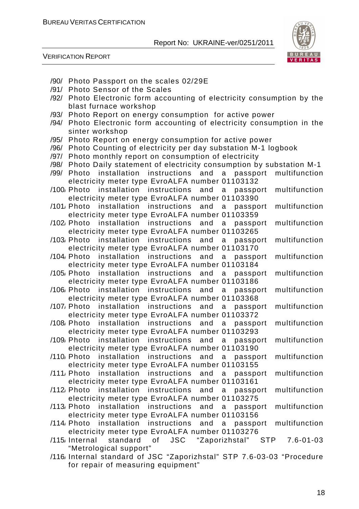

VERIFICATION REPORT

| /90/ Photo Passport on the scales 02/29E                                                      |
|-----------------------------------------------------------------------------------------------|
| <b>Photo Sensor of the Scales</b><br>/91/                                                     |
| /92/ Photo Electronic form accounting of electricity consumption by the                       |
| blast furnace workshop                                                                        |
| Photo Report on energy consumption for active power<br>/93/                                   |
| Photo Electronic form accounting of electricity consumption in the<br>/94/                    |
| sinter workshop                                                                               |
| Photo Report on energy consumption for active power<br>/95/                                   |
| Photo Counting of electricity per day substation M-1 logbook<br>/96/                          |
| Photo monthly report on consumption of electricity<br>/97/                                    |
| Photo Daily statement of electricity consumption by substation M-1<br>/98/                    |
| Photo installation instructions and<br>multifunction<br>/99/<br>a passport                    |
| electricity meter type EvroALFA number 01103132                                               |
| /100/ Photo installation instructions and<br>multifunction<br>a a<br>passport                 |
| electricity meter type EvroALFA number 01103390                                               |
| /101/ Photo installation instructions and a passport<br>multifunction                         |
| electricity meter type EvroALFA number 01103359                                               |
| multifunction<br>/102/ Photo installation instructions<br>and                                 |
| $\mathsf{a}$<br>passport<br>electricity meter type EvroALFA number 01103265                   |
|                                                                                               |
| /103/ Photo installation instructions and<br>multifunction<br>a a<br>passport                 |
| electricity meter type EvroALFA number 01103170                                               |
| /104/ Photo installation instructions<br>and<br>multifunction<br>a<br>passport                |
| electricity meter type EvroALFA number 01103184                                               |
| multifunction<br>/105/Photo installation instructions<br>and<br>a<br>passport                 |
| electricity meter type EvroALFA number 01103186                                               |
| multifunction<br>/106/Photo installation instructions and<br>a<br>passport                    |
| electricity meter type EvroALFA number 01103368                                               |
| /107/ Photo installation instructions<br>and<br>multifunction<br>a<br>passport                |
| electricity meter type EvroALFA number 01103372                                               |
| /108/Photo installation instructions and<br>multifunction<br>a<br>passport                    |
| electricity meter type EvroALFA number 01103293                                               |
| /109 <sub>/</sub> Photo<br>installation instructions<br>multifunction<br>and<br>a<br>passport |
| electricity meter type EvroALFA number 01103190                                               |
| installation instructions<br>multifunction<br>/110, Photo<br>and<br>a<br>passport             |
| electricity meter type EvroALFA number 01103155                                               |
| /111/ Photo installation instructions<br>multifunction<br>and<br>a<br>passport                |
| electricity meter type EvroALFA number 01103161                                               |
| installation instructions<br>$/112$ , Photo<br>and<br>a<br>multifunction<br>passport          |
| electricity meter type EvroALFA number 01103275                                               |
| /113 Photo installation instructions<br>and<br>multifunction<br>a passport                    |
| electricity meter type EvroALFA number 01103156                                               |
| /114 Photo installation instructions<br>multifunction<br>and<br>passport<br>a                 |
| electricity meter type EvroALFA number 01103276                                               |
| /115 <sub>/</sub> Internal<br>standard<br>JSC "Zaporizhstal"<br>of<br>STP<br>$7.6 - 01 - 03$  |
| "Metrological support"                                                                        |
| /116 Internal standard of JSC "Zaporizhstal" STP 7.6-03-03 "Procedure                         |
| for repair of measuring equipment"                                                            |
|                                                                                               |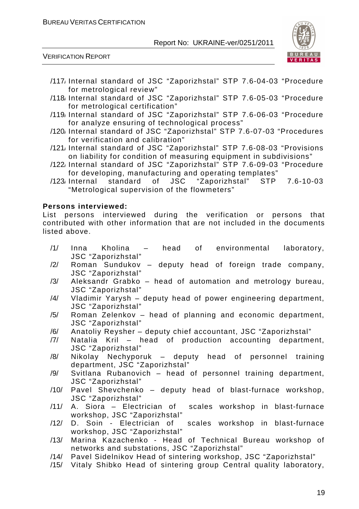

VERIFICATION REPORT

- /117/ Internal standard of JSC "Zaporizhstal" STP 7.6-04-03 "Procedure for metrological review"
- /118/ Internal standard of JSC "Zaporizhstal" STP 7.6-05-03 "Procedure for metrological certification"
- /119/ Internal standard of JSC "Zaporizhstal" STP 7.6-06-03 "Procedure for analyze ensuring of technological process"
- /120/ Internal standard of JSC "Zaporizhstal" STP 7.6-07-03 "Procedures for verification and calibration"
- /121/ Internal standard of JSC "Zaporizhstal" STP 7.6-08-03 "Provisions on liability for condition of measuring equipment in subdivisions"
- /122/ Internal standard of JSC "Zaporizhstal" STP 7.6-09-03 "Procedure for developing, manufacturing and operating templates"
- /123/ Internal standard of JSC "Zaporizhstal" STP 7.6-10-03 "Metrological supervision of the flowmeters"

#### **Persons interviewed:**

List persons interviewed during the verification or persons that contributed with other information that are not included in the documents listed above.

- /1/ Inna Kholina head of environmental laboratory, JSC "Zaporizhstal"
- /2/ Roman Sundukov deputy head of foreign trade company, JSC "Zaporizhstal"
- /3/ Aleksandr Grabko head of automation and metrology bureau, JSC "Zaporizhstal"
- /4/ Vladimir Yarysh deputy head of power engineering department, JSC "Zaporizhstal"
- /5/ Roman Zelenkov head of planning and economic department, JSC "Zaporizhstal"
- /6/ Anatoliy Reysher deputy chief accountant, JSC "Zaporizhstal"
- /7/ Natalia Kril head of production accounting department, JSC "Zaporizhstal"
- /8/ Nikolay Nechyporuk deputy head of personnel training department, JSC "Zaporizhstal"
- /9/ Svitlana Rubanovich head of personnel training department, JSC "Zaporizhstal"
- /10/ Pavel Shevchenko deputy head of blast-furnace workshop, JSC "Zaporizhstal"
- /11/ A. Siora Electrician of scales workshop in blast-furnace workshop, JSC "Zaporizhstal"<br>D. Soin - Electrician of
- /12/ D. Soin Electrician of scales workshop in blast-furnace workshop, JSC "Zaporizhstal"
- /13/ Marina Kazachenko Head of Technical Bureau workshop of networks and substations, JSC "Zaporizhstal"
- /14/ Pavel Sidelnikov Head of sintering workshop, JSC "Zaporizhstal"
- /15/ Vitaly Shibko Head of sintering group Central quality laboratory,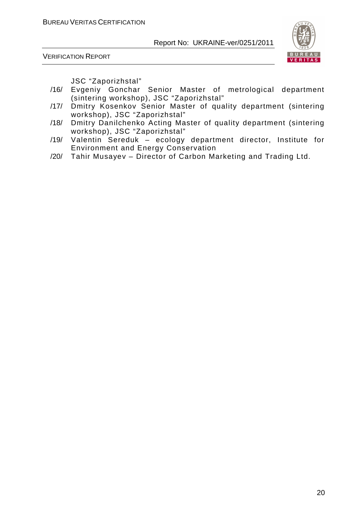



JSC "Zaporizhstal"

- /16/ Evgeniy Gonchar Senior Master of metrological department (sintering workshop), JSC "Zaporizhstal"
- /17/ Dmitry Kosenkov Senior Master of quality department (sintering workshop), JSC "Zaporizhstal"
- /18/ Dmitry Danilchenko Acting Master of quality department (sintering workshop), JSC "Zaporizhstal"
- /19/ Valentin Sereduk ecology department director, Institute for Environment and Energy Conservation
- /20/ Tahir Musayev Director of Carbon Marketing and Trading Ltd.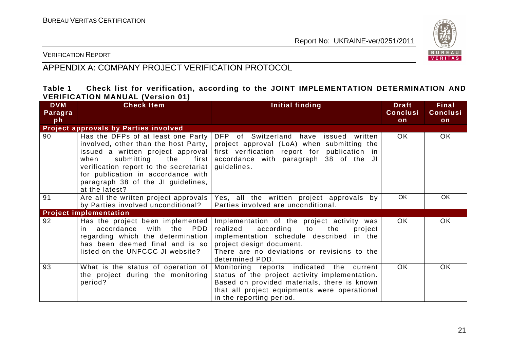

VERIFICATION REPORT

#### APPENDIX A: COMPANY PROJECT VERIFICATION PROTOCOL

#### **Table 1 Check list for verification, according to the JOINT IMPLEMENTATION DETERMINATION AND VERIFICATION MANUAL (Version 01)**

| <b>DVM</b><br>Paragra | <b>Check Item</b>                                                                                                                                                                                            | Initial finding                                                                                                                                                                                                                                                       | <b>Draft</b><br><b>Conclusi</b> | Final<br><b>Conclusi</b> |
|-----------------------|--------------------------------------------------------------------------------------------------------------------------------------------------------------------------------------------------------------|-----------------------------------------------------------------------------------------------------------------------------------------------------------------------------------------------------------------------------------------------------------------------|---------------------------------|--------------------------|
| ph                    |                                                                                                                                                                                                              |                                                                                                                                                                                                                                                                       | on                              | on                       |
|                       | Project approvals by Parties involved                                                                                                                                                                        |                                                                                                                                                                                                                                                                       |                                 |                          |
| 90                    | Has the DFPs of at least one Party DFP of Switzerland have<br>when<br>verification report to the secretariat  <br>for publication in accordance with<br>paragraph 38 of the JI guidelines,<br>at the latest? | issued written<br>involved, other than the host Party, $ $ project approval (LoA) when submitting the<br>issued a written project approval first verification report for publication in<br>submitting the first accordance with paragraph 38 of the JI<br>guidelines. | OK.                             | OK.                      |
| 91                    | Are all the written project approvals                                                                                                                                                                        | Yes, all the written project approvals by                                                                                                                                                                                                                             | OK.                             | <b>OK</b>                |
|                       | by Parties involved unconditional?                                                                                                                                                                           | Parties involved are unconditional.                                                                                                                                                                                                                                   |                                 |                          |
|                       | <b>Project implementation</b>                                                                                                                                                                                |                                                                                                                                                                                                                                                                       |                                 |                          |
| 92                    | Has the project been implemented<br>in accordance<br>with the<br>PDD<br>regarding which the determination<br>has been deemed final and is so<br>listed on the UNFCCC JI website?                             | Implementation of the project activity was<br>realized<br>according to the<br>project<br>implementation schedule described in the<br>project design document.<br>There are no deviations or revisions to the<br>determined PDD.                                       | <b>OK</b>                       | OK                       |
| 93                    | What is the status of operation of<br>the project during the monitoring<br>period?                                                                                                                           | Monitoring reports indicated the current<br>status of the project activity implementation.<br>Based on provided materials, there is known<br>that all project equipments were operational<br>in the reporting period.                                                 | OK.                             | OK.                      |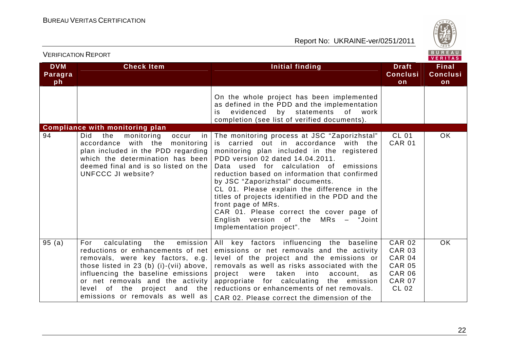

| VERIFICATION REPORT<br>VERITAS |                                                                                                                                                                                                                                                                                                         |                                                                                                                                                                                                                                                                                                                                                                                                                                                                                                                                                |                                                                                                                    |                                       |
|--------------------------------|---------------------------------------------------------------------------------------------------------------------------------------------------------------------------------------------------------------------------------------------------------------------------------------------------------|------------------------------------------------------------------------------------------------------------------------------------------------------------------------------------------------------------------------------------------------------------------------------------------------------------------------------------------------------------------------------------------------------------------------------------------------------------------------------------------------------------------------------------------------|--------------------------------------------------------------------------------------------------------------------|---------------------------------------|
| <b>DVM</b><br>Paragra<br>ph    | <b>Check Item</b>                                                                                                                                                                                                                                                                                       | Initial finding                                                                                                                                                                                                                                                                                                                                                                                                                                                                                                                                | <b>Draft</b><br><b>Conclusi</b><br>on                                                                              | <b>Final</b><br><b>Conclusi</b><br>on |
|                                |                                                                                                                                                                                                                                                                                                         | On the whole project has been implemented<br>as defined in the PDD and the implementation<br>evidenced<br>by statements<br>of work<br>is.<br>completion (see list of verified documents).                                                                                                                                                                                                                                                                                                                                                      |                                                                                                                    |                                       |
|                                | <b>Compliance with monitoring plan</b>                                                                                                                                                                                                                                                                  |                                                                                                                                                                                                                                                                                                                                                                                                                                                                                                                                                |                                                                                                                    |                                       |
| 94                             | monitoring<br>Did<br>the<br>occur<br>in.<br>accordance with the monitoring<br>plan included in the PDD regarding<br>which the determination has been<br>deemed final and is so listed on the<br>UNFCCC JI website?                                                                                      | The monitoring process at JSC "Zaporizhstal"<br>is carried out in accordance with the<br>monitoring plan included in the registered<br>PDD version 02 dated 14.04.2011.<br>Data used for calculation of emissions<br>reduction based on information that confirmed<br>by JSC "Zaporizhstal" documents.<br>CL 01. Please explain the difference in the<br>titles of projects identified in the PDD and the<br>front page of MRs.<br>CAR 01. Please correct the cover page of<br>English version of the MRs - "Joint<br>Implementation project". | <b>CL 01</b><br><b>CAR 01</b>                                                                                      | <b>OK</b>                             |
| 95(a)                          | calculating<br>the<br>emission<br>For<br>reductions or enhancements of net<br>removals, were key factors, e.g.<br>those listed in 23 (b) (i)-(vii) above,<br>influencing the baseline emissions<br>or net removals and the activity<br>level of the project and the<br>emissions or removals as well as | All key factors influencing the baseline<br>emissions or net removals and the activity<br>level of the project and the emissions or<br>removals as well as risks associated with the<br>project were taken into<br>account,<br>as<br>appropriate for calculating the emission<br>reductions or enhancements of net removals.<br>CAR 02. Please correct the dimension of the                                                                                                                                                                    | <b>CAR 02</b><br><b>CAR 03</b><br><b>CAR 04</b><br><b>CAR 05</b><br><b>CAR 06</b><br><b>CAR 07</b><br><b>CL 02</b> | OK                                    |

VERIFICATION REPORT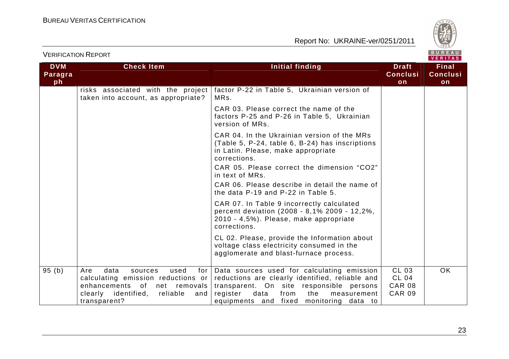

| <b>DVM</b><br>Paragra | <b>Check Item</b>                                                                                                                                                               | <b>Initial finding</b>                                                                                                                                                                                                                 | <b>Draft</b><br><b>Conclusi</b>                         | <b>Final</b><br><b>Conclusi</b> |
|-----------------------|---------------------------------------------------------------------------------------------------------------------------------------------------------------------------------|----------------------------------------------------------------------------------------------------------------------------------------------------------------------------------------------------------------------------------------|---------------------------------------------------------|---------------------------------|
| ph                    |                                                                                                                                                                                 |                                                                                                                                                                                                                                        | on                                                      | on                              |
|                       | risks associated with the project<br>taken into account, as appropriate?                                                                                                        | factor P-22 in Table 5, Ukrainian version of<br>MRs.                                                                                                                                                                                   |                                                         |                                 |
|                       |                                                                                                                                                                                 | CAR 03. Please correct the name of the<br>factors P-25 and P-26 in Table 5, Ukrainian<br>version of MRs.                                                                                                                               |                                                         |                                 |
|                       |                                                                                                                                                                                 | CAR 04. In the Ukrainian version of the MRs<br>(Table 5, P-24, table 6, B-24) has inscriptions<br>in Latin. Please, make appropriate<br>corrections.                                                                                   |                                                         |                                 |
|                       |                                                                                                                                                                                 | CAR 05. Please correct the dimension "CO2"<br>in text of MRs.                                                                                                                                                                          |                                                         |                                 |
|                       |                                                                                                                                                                                 | CAR 06. Please describe in detail the name of<br>the data P-19 and P-22 in Table 5.                                                                                                                                                    |                                                         |                                 |
|                       |                                                                                                                                                                                 | CAR 07. In Table 9 incorrectly calculated<br>percent deviation (2008 - 8,1% 2009 - 12,2%,<br>2010 - 4,5%). Please, make appropriate<br>corrections.                                                                                    |                                                         |                                 |
|                       |                                                                                                                                                                                 | CL 02. Please, provide the Information about<br>voltage class electricity consumed in the<br>agglomerate and blast-furnace process.                                                                                                    |                                                         |                                 |
| 95(b)                 | Are<br>data<br>used<br>sources<br>for I<br>calculating emission reductions or<br>enhancements of<br>net<br>removals l<br>clearly identified,<br>reliable<br>and<br>transparent? | Data sources used for calculating emission<br>reductions are clearly identified, reliable and<br>transparent. On site responsible persons<br>register<br>data<br>from<br>the<br>measurement<br>equipments and fixed monitoring data to | CL 03<br><b>CL 04</b><br><b>CAR 08</b><br><b>CAR 09</b> | OK                              |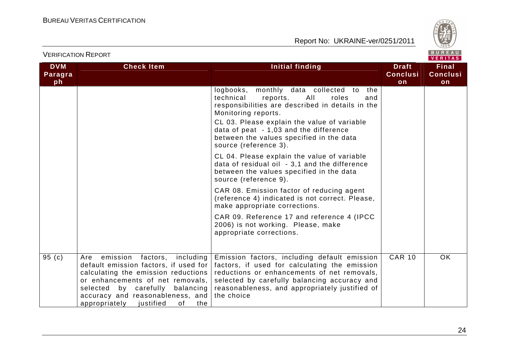

|                             |                                                                                                                                                                                                                                                                                | $V = H + H + H$                                                                                                                                                                                                                                              |                                       |                                       |  |  |
|-----------------------------|--------------------------------------------------------------------------------------------------------------------------------------------------------------------------------------------------------------------------------------------------------------------------------|--------------------------------------------------------------------------------------------------------------------------------------------------------------------------------------------------------------------------------------------------------------|---------------------------------------|---------------------------------------|--|--|
| <b>DVM</b><br>Paragra<br>ph | <b>Check Item</b>                                                                                                                                                                                                                                                              | Initial finding                                                                                                                                                                                                                                              | <b>Draft</b><br><b>Conclusi</b><br>on | <b>Final</b><br><b>Conclusi</b><br>on |  |  |
|                             |                                                                                                                                                                                                                                                                                | logbooks, monthly data collected to<br>the<br>technical<br>All<br>reports.<br>roles<br>and<br>responsibilities are described in details in the<br>Monitoring reports.                                                                                        |                                       |                                       |  |  |
|                             |                                                                                                                                                                                                                                                                                | CL 03. Please explain the value of variable<br>data of peat - 1,03 and the difference<br>between the values specified in the data<br>source (reference 3).                                                                                                   |                                       |                                       |  |  |
|                             |                                                                                                                                                                                                                                                                                | CL 04. Please explain the value of variable<br>data of residual oil - 3,1 and the difference<br>between the values specified in the data<br>source (reference 9).                                                                                            |                                       |                                       |  |  |
|                             |                                                                                                                                                                                                                                                                                | CAR 08. Emission factor of reducing agent<br>(reference 4) indicated is not correct. Please,<br>make appropriate corrections.                                                                                                                                |                                       |                                       |  |  |
|                             |                                                                                                                                                                                                                                                                                | CAR 09. Reference 17 and reference 4 (IPCC<br>2006) is not working. Please, make<br>appropriate corrections.                                                                                                                                                 |                                       |                                       |  |  |
| $\overline{9}5$ (c)         | Are emission<br>including<br>factors,<br>default emission factors, if used for<br>calculating the emission reductions<br>or enhancements of net removals,<br>selected<br>by carefully balancing<br>accuracy and reasonableness, and<br>justified<br>0f<br>appropriately<br>the | Emission factors, including default emission<br>factors, if used for calculating the emission<br>reductions or enhancements of net removals,<br>selected by carefully balancing accuracy and<br>reasonableness, and appropriately justified of<br>the choice | <b>CAR 10</b>                         | <b>OK</b>                             |  |  |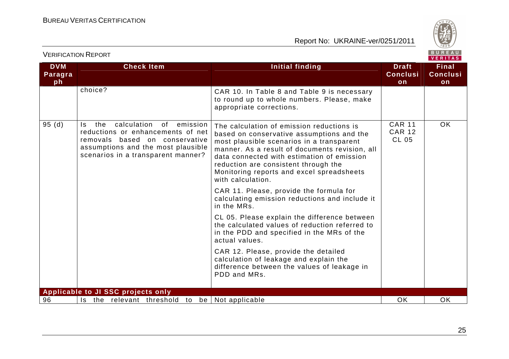

| <b>DVM</b><br>Paragra<br>ph | <b>Check Item</b>                                                                                                                                                                                | <b>Initial finding</b>                                                                                                                                                                                                                                                                                                                        | <b>Draft</b><br><b>Conclusi</b><br>on          | <b>Final</b><br><b>Conclusi</b><br>on |
|-----------------------------|--------------------------------------------------------------------------------------------------------------------------------------------------------------------------------------------------|-----------------------------------------------------------------------------------------------------------------------------------------------------------------------------------------------------------------------------------------------------------------------------------------------------------------------------------------------|------------------------------------------------|---------------------------------------|
|                             | choice?                                                                                                                                                                                          | CAR 10. In Table 8 and Table 9 is necessary<br>to round up to whole numbers. Please, make<br>appropriate corrections.                                                                                                                                                                                                                         |                                                |                                       |
| 95(d)                       | calculation<br>the<br>of .<br>emission<br>Is.<br>reductions or enhancements of net<br>removals based on conservative<br>assumptions and the most plausible<br>scenarios in a transparent manner? | The calculation of emission reductions is<br>based on conservative assumptions and the<br>most plausible scenarios in a transparent<br>manner. As a result of documents revision, all<br>data connected with estimation of emission<br>reduction are consistent through the<br>Monitoring reports and excel spreadsheets<br>with calculation. | <b>CAR 11</b><br><b>CAR 12</b><br><b>CL 05</b> | <b>OK</b>                             |
|                             |                                                                                                                                                                                                  | CAR 11. Please, provide the formula for<br>calculating emission reductions and include it<br>in the MRs.                                                                                                                                                                                                                                      |                                                |                                       |
|                             |                                                                                                                                                                                                  | CL 05. Please explain the difference between<br>the calculated values of reduction referred to<br>in the PDD and specified in the MRs of the<br>actual values.                                                                                                                                                                                |                                                |                                       |
|                             |                                                                                                                                                                                                  | CAR 12. Please, provide the detailed<br>calculation of leakage and explain the<br>difference between the values of leakage in<br>PDD and MRs.                                                                                                                                                                                                 |                                                |                                       |
|                             | Applicable to JI SSC projects only                                                                                                                                                               |                                                                                                                                                                                                                                                                                                                                               |                                                |                                       |
| 96                          | Is the relevant threshold to be Not applicable                                                                                                                                                   |                                                                                                                                                                                                                                                                                                                                               | <b>OK</b>                                      | <b>OK</b>                             |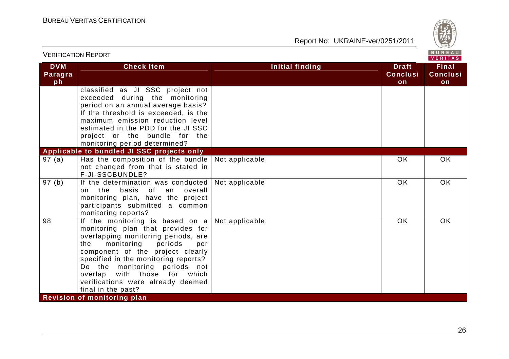

| <b>VERIFICATION REPORT</b>  |                                                                                                                                                                                                                                                                                                                                                            |                 | BUREAU<br><b>VERITAS</b>              |                                       |
|-----------------------------|------------------------------------------------------------------------------------------------------------------------------------------------------------------------------------------------------------------------------------------------------------------------------------------------------------------------------------------------------------|-----------------|---------------------------------------|---------------------------------------|
| <b>DVM</b><br>Paragra<br>ph | <b>Check Item</b>                                                                                                                                                                                                                                                                                                                                          | Initial finding | <b>Draft</b><br><b>Conclusi</b><br>on | <b>Final</b><br><b>Conclusi</b><br>on |
|                             | classified as JI SSC project not<br>exceeded during the monitoring<br>period on an annual average basis?<br>If the threshold is exceeded, is the<br>maximum emission reduction level<br>estimated in the PDD for the JI SSC<br>project or the bundle for the<br>monitoring period determined?                                                              |                 |                                       |                                       |
|                             | Applicable to bundled JI SSC projects only                                                                                                                                                                                                                                                                                                                 |                 |                                       |                                       |
| 97(a)                       | Has the composition of the bundle $\vert$ Not applicable<br>not changed from that is stated in<br>F-JI-SSCBUNDLE?                                                                                                                                                                                                                                          |                 | <b>OK</b>                             | <b>OK</b>                             |
| 97(b)                       | If the determination was conducted<br>of an<br>the<br>basis<br>overall<br>on<br>monitoring plan, have the project<br>participants submitted a common<br>monitoring reports?                                                                                                                                                                                | Not applicable  | <b>OK</b>                             | <b>OK</b>                             |
| 98                          | If the monitoring is based on a<br>monitoring plan that provides for<br>overlapping monitoring periods, are<br>monitoring<br>the<br>periods<br>per<br>component of the project clearly<br>specified in the monitoring reports?<br>Do the monitoring periods not<br>overlap with those for which<br>verifications were already deemed<br>final in the past? | Not applicable  | OK                                    | <b>OK</b>                             |
|                             | Revision of monitoring plan                                                                                                                                                                                                                                                                                                                                |                 |                                       |                                       |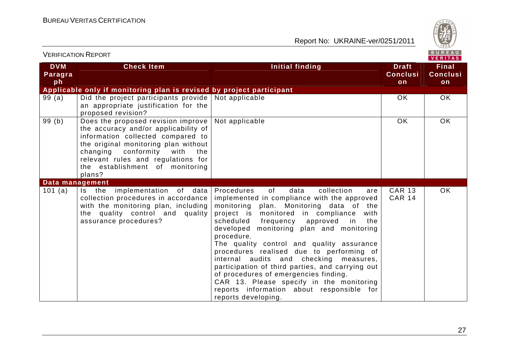

| <b>VERIFICATION REPORT</b>  |                                                                                                                                                                                                                                                                                     | BUREAU<br>VERITAS                                                                                                                                                                                                                                                                                                                                                                                                                                                                                                                                                                                                                               |                                       |                                       |
|-----------------------------|-------------------------------------------------------------------------------------------------------------------------------------------------------------------------------------------------------------------------------------------------------------------------------------|-------------------------------------------------------------------------------------------------------------------------------------------------------------------------------------------------------------------------------------------------------------------------------------------------------------------------------------------------------------------------------------------------------------------------------------------------------------------------------------------------------------------------------------------------------------------------------------------------------------------------------------------------|---------------------------------------|---------------------------------------|
| <b>DVM</b><br>Paragra<br>ph | <b>Check Item</b>                                                                                                                                                                                                                                                                   | <b>Initial finding</b>                                                                                                                                                                                                                                                                                                                                                                                                                                                                                                                                                                                                                          | <b>Draft</b><br><b>Conclusi</b><br>on | <b>Final</b><br><b>Conclusi</b><br>on |
|                             | Applicable only if monitoring plan is revised by project participant                                                                                                                                                                                                                |                                                                                                                                                                                                                                                                                                                                                                                                                                                                                                                                                                                                                                                 |                                       |                                       |
| 99(a)                       | Did the project participants provide<br>an appropriate justification for the<br>proposed revision?                                                                                                                                                                                  | Not applicable                                                                                                                                                                                                                                                                                                                                                                                                                                                                                                                                                                                                                                  | <b>OK</b>                             | OK.                                   |
| 99(b)                       | Does the proposed revision improve<br>the accuracy and/or applicability of<br>information collected compared to<br>the original monitoring plan without<br>conformity<br>changing<br>with<br>the<br>relevant rules and regulations for<br>the establishment of monitoring<br>plans? | Not applicable                                                                                                                                                                                                                                                                                                                                                                                                                                                                                                                                                                                                                                  | OK                                    | <b>OK</b>                             |
| Data management             |                                                                                                                                                                                                                                                                                     |                                                                                                                                                                                                                                                                                                                                                                                                                                                                                                                                                                                                                                                 |                                       |                                       |
| 101 (a)                     | Is the implementation of data<br>collection procedures in accordance<br>with the monitoring plan, including<br>the quality control and quality<br>assurance procedures?                                                                                                             | Procedures<br>of<br>data<br>collection<br>are<br>implemented in compliance with the approved<br>monitoring plan. Monitoring data of the<br>project is monitored in compliance<br>with<br>scheduled<br>frequency approved in<br>the<br>developed monitoring plan and monitoring<br>procedure.<br>The quality control and quality assurance<br>procedures realised due to performing of<br>internal audits and checking<br>measures,<br>participation of third parties, and carrying out<br>of procedures of emergencies finding.<br>CAR 13. Please specify in the monitoring<br>reports information about responsible for<br>reports developing. | <b>CAR 13</b><br><b>CAR 14</b>        | <b>OK</b>                             |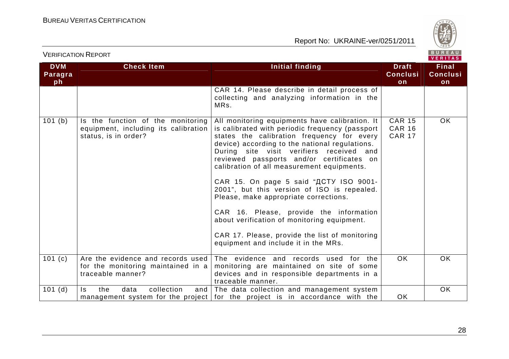

|                             |                                                                                                   |                                                                                                                                                                                                                                                                                                                                                                                                                                                                                                                                                                                                                                                                |                                                 | VERITAS                               |
|-----------------------------|---------------------------------------------------------------------------------------------------|----------------------------------------------------------------------------------------------------------------------------------------------------------------------------------------------------------------------------------------------------------------------------------------------------------------------------------------------------------------------------------------------------------------------------------------------------------------------------------------------------------------------------------------------------------------------------------------------------------------------------------------------------------------|-------------------------------------------------|---------------------------------------|
| <b>DVM</b><br>Paragra<br>ph | <b>Check Item</b>                                                                                 | <b>Initial finding</b>                                                                                                                                                                                                                                                                                                                                                                                                                                                                                                                                                                                                                                         | <b>Draft</b><br><b>Conclusi</b><br>on           | <b>Final</b><br><b>Conclusi</b><br>on |
|                             |                                                                                                   | CAR 14. Please describe in detail process of<br>collecting and analyzing information in the<br>MRs.                                                                                                                                                                                                                                                                                                                                                                                                                                                                                                                                                            |                                                 |                                       |
| 101 (b)                     | Is the function of the monitoring<br>equipment, including its calibration<br>status, is in order? | All monitoring equipments have calibration. It<br>is calibrated with periodic frequency (passport<br>states the calibration frequency for every<br>device) according to the national regulations.<br>During site visit verifiers received and<br>reviewed passports and/or certificates on<br>calibration of all measurement equipments.<br>CAR 15. On page 5 said "ACTY ISO 9001-<br>2001", but this version of ISO is repealed.<br>Please, make appropriate corrections.<br>CAR 16. Please, provide the information<br>about verification of monitoring equipment.<br>CAR 17. Please, provide the list of monitoring<br>equipment and include it in the MRs. | <b>CAR 15</b><br><b>CAR 16</b><br><b>CAR 17</b> | <b>OK</b>                             |
| 101(c)                      | Are the evidence and records used<br>for the monitoring maintained in a<br>traceable manner?      | The evidence and records used for the<br>monitoring are maintained on site of some<br>devices and in responsible departments in a<br>traceable manner.                                                                                                                                                                                                                                                                                                                                                                                                                                                                                                         | OK.                                             | OK.                                   |
| $101$ (d)                   | collection<br>the<br>data<br>ls.<br>and $\vert$                                                   | The data collection and management system<br>management system for the project for the project is in accordance with the                                                                                                                                                                                                                                                                                                                                                                                                                                                                                                                                       | OK.                                             | OK                                    |

VERIFICATION REPORT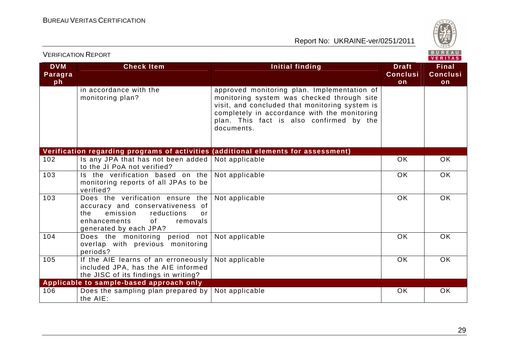

| <b>VERIFICATION REPORT</b>  |                                                                                                                                                                         |                                                                                                                                                                                                                                                       |                                       |                                       |
|-----------------------------|-------------------------------------------------------------------------------------------------------------------------------------------------------------------------|-------------------------------------------------------------------------------------------------------------------------------------------------------------------------------------------------------------------------------------------------------|---------------------------------------|---------------------------------------|
| <b>DVM</b><br>Paragra<br>ph | <b>Check Item</b>                                                                                                                                                       | Initial finding                                                                                                                                                                                                                                       | <b>Draft</b><br><b>Conclusi</b><br>on | <b>Final</b><br><b>Conclusi</b><br>on |
|                             | in accordance with the<br>monitoring plan?                                                                                                                              | approved monitoring plan. Implementation of<br>monitoring system was checked through site<br>visit, and concluded that monitoring system is<br>completely in accordance with the monitoring<br>plan. This fact is also confirmed by the<br>documents. |                                       |                                       |
|                             |                                                                                                                                                                         | Verification regarding programs of activities (additional elements for assessment)                                                                                                                                                                    |                                       |                                       |
| 102                         | Is any JPA that has not been added<br>to the JI PoA not verified?                                                                                                       | Not applicable                                                                                                                                                                                                                                        | <b>OK</b>                             | OK                                    |
| 103                         | Is the verification based on the<br>monitoring reports of all JPAs to be<br>verified?                                                                                   | Not applicable                                                                                                                                                                                                                                        | <b>OK</b>                             | <b>OK</b>                             |
| 103                         | Does the verification ensure the<br>accuracy and conservativeness of<br>the<br>emission<br>reductions<br>or<br>enhancements<br>of<br>removals<br>generated by each JPA? | Not applicable                                                                                                                                                                                                                                        | <b>OK</b>                             | OK                                    |
| 104                         | Does the monitoring period not<br>overlap with previous monitoring<br>periods?                                                                                          | Not applicable                                                                                                                                                                                                                                        | <b>OK</b>                             | OK                                    |
| 105                         | If the AIE learns of an erroneously<br>included JPA, has the AIE informed<br>the JISC of its findings in writing?                                                       | Not applicable                                                                                                                                                                                                                                        | OK                                    | OK                                    |
|                             | Applicable to sample-based approach only                                                                                                                                |                                                                                                                                                                                                                                                       |                                       |                                       |
| 106                         | Does the sampling plan prepared by<br>the AIE:                                                                                                                          | Not applicable                                                                                                                                                                                                                                        | <b>OK</b>                             | OK                                    |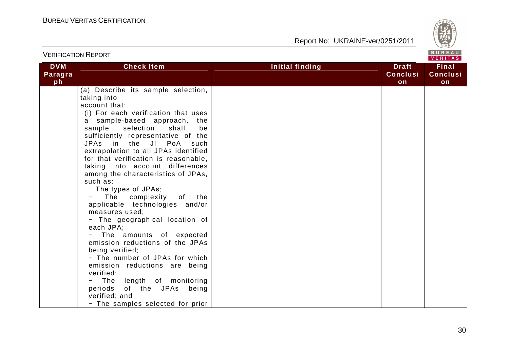

| <b>VERIFICATION REPORT</b>  |                                                                                                                                                                                                                                                                                                                                                                                                                                                                                                                                                                                                                                                                                                                                                                                                                                                                |                 |                                       | BUREAU<br>VERITAS                     |
|-----------------------------|----------------------------------------------------------------------------------------------------------------------------------------------------------------------------------------------------------------------------------------------------------------------------------------------------------------------------------------------------------------------------------------------------------------------------------------------------------------------------------------------------------------------------------------------------------------------------------------------------------------------------------------------------------------------------------------------------------------------------------------------------------------------------------------------------------------------------------------------------------------|-----------------|---------------------------------------|---------------------------------------|
| <b>DVM</b><br>Paragra<br>ph | <b>Check Item</b>                                                                                                                                                                                                                                                                                                                                                                                                                                                                                                                                                                                                                                                                                                                                                                                                                                              | Initial finding | <b>Draft</b><br><b>Conclusi</b><br>on | <b>Final</b><br><b>Conclusi</b><br>on |
|                             | (a) Describe its sample selection,<br>taking into<br>account that:<br>(i) For each verification that uses<br>a sample-based approach, the<br>sample selection<br>shall<br>be<br>sufficiently representative of the<br>JPAs in the JI PoA<br>such<br>extrapolation to all JPAs identified<br>for that verification is reasonable,<br>taking into account differences<br>among the characteristics of JPAs,<br>such as:<br>- The types of JPAs;<br>The complexity of the<br>applicable technologies and/or<br>measures used;<br>- The geographical location of<br>each JPA;<br>The amounts of expected<br>emission reductions of the JPAs<br>being verified;<br>- The number of JPAs for which<br>emission reductions are being<br>verified;<br>The<br>length of monitoring<br>of the JPAs being<br>periods<br>verified; and<br>- The samples selected for prior |                 |                                       |                                       |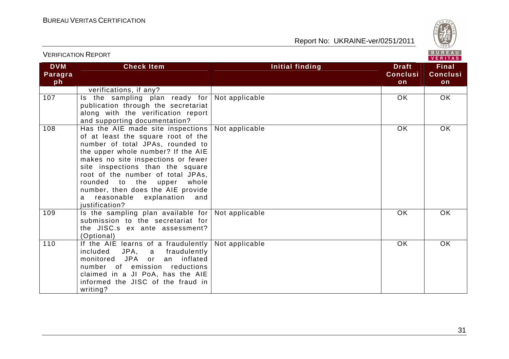

#### VERIFICATION REPORT

| <b>DVM</b> | <b>Check Item</b>                   | <b>Initial finding</b> | <b>Draft</b>    | <b>Final</b>    |
|------------|-------------------------------------|------------------------|-----------------|-----------------|
| Paragra    |                                     |                        | <b>Conclusi</b> | <b>Conclusi</b> |
| ph         |                                     |                        | on              | on              |
|            | verifications, if any?              |                        |                 |                 |
| 107        | Is the sampling plan ready for      | Not applicable         | OK.             | OK.             |
|            | publication through the secretariat |                        |                 |                 |
|            | along with the verification report  |                        |                 |                 |
|            | and supporting documentation?       |                        |                 |                 |
| 108        | Has the AIE made site inspections   | Not applicable         | OK.             | <b>OK</b>       |
|            | of at least the square root of the  |                        |                 |                 |
|            | number of total JPAs, rounded to    |                        |                 |                 |
|            | the upper whole number? If the AIE  |                        |                 |                 |
|            | makes no site inspections or fewer  |                        |                 |                 |
|            | site inspections than the square    |                        |                 |                 |
|            | root of the number of total JPAs,   |                        |                 |                 |
|            | rounded to the upper<br>whole       |                        |                 |                 |
|            | number, then does the AIE provide   |                        |                 |                 |
|            | a reasonable explanation and        |                        |                 |                 |
|            | justification?                      |                        |                 |                 |
| 109        | Is the sampling plan available for  | Not applicable         | <b>OK</b>       | OK.             |
|            | submission to the secretariat for   |                        |                 |                 |
|            | the JISC.s ex ante assessment?      |                        |                 |                 |
|            | (Optional)                          |                        |                 |                 |
| 110        | If the AIE learns of a fraudulently | Not applicable         | <b>OK</b>       | OK              |
|            | included<br>JPA, a fraudulently     |                        |                 |                 |
|            | monitored JPA or<br>an inflated     |                        |                 |                 |
|            | number of emission reductions       |                        |                 |                 |
|            | claimed in a JI PoA, has the AIE    |                        |                 |                 |
|            | informed the JISC of the fraud in   |                        |                 |                 |
|            | writing?                            |                        |                 |                 |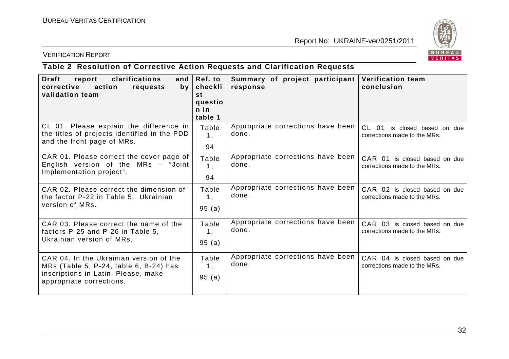

#### VERIFICATION REPORT

#### **Table 2 Resolution of Corrective Action Requests and Clarification Requests**

| <b>Draft</b><br>report<br>clarifications<br>corrective<br>action<br>requests<br>by<br>validation team                                                | and $ Ref. to$<br>checkli<br>st<br>questio<br>$n$ in<br>table 1 | Summary of project participant<br>response | <b>Verification team</b><br>conclusion                            |
|------------------------------------------------------------------------------------------------------------------------------------------------------|-----------------------------------------------------------------|--------------------------------------------|-------------------------------------------------------------------|
| CL 01. Please explain the difference in<br>the titles of projects identified in the PDD<br>and the front page of MRs.                                | Table<br>1,<br>94                                               | Appropriate corrections have been<br>done. | $CL$ 01<br>is closed based on due<br>corrections made to the MRs. |
| CAR 01. Please correct the cover page of<br>English version of the MRs - "Joint<br>Implementation project".                                          | Table<br>1,<br>94                                               | Appropriate corrections have been<br>done. | CAR 01 is closed based on due<br>corrections made to the MRs.     |
| CAR 02. Please correct the dimension of<br>the factor P-22 in Table 5, Ukrainian<br>version of MRs.                                                  | Table<br>1,<br>95(a)                                            | Appropriate corrections have been<br>done. | CAR 02 is closed based on due<br>corrections made to the MRs.     |
| CAR 03. Please correct the name of the<br>factors P-25 and P-26 in Table 5,<br>Ukrainian version of MRs.                                             | Table<br>1,<br>95(a)                                            | Appropriate corrections have been<br>done. | CAR 03 is closed based on due<br>corrections made to the MRs.     |
| CAR 04. In the Ukrainian version of the<br>MRs (Table 5, P-24, table 6, B-24) has<br>inscriptions in Latin. Please, make<br>appropriate corrections. | Table<br>1,<br>95(a)                                            | Appropriate corrections have been<br>done. | CAR 04 is closed based on due<br>corrections made to the MRs.     |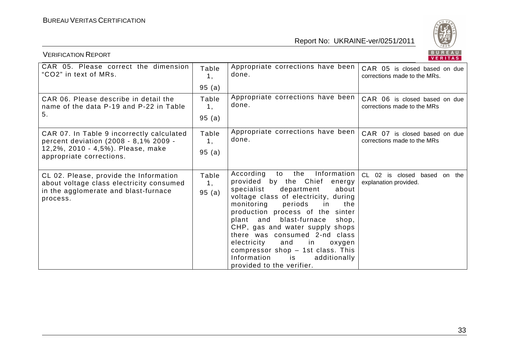

| <b>VERIFICATION REPORT</b>                                                                                                                          |                      |                                                                                                                                                                                                                                                                                                                                                                                                                                                                                      | BUREAU<br>VERITAS                                             |
|-----------------------------------------------------------------------------------------------------------------------------------------------------|----------------------|--------------------------------------------------------------------------------------------------------------------------------------------------------------------------------------------------------------------------------------------------------------------------------------------------------------------------------------------------------------------------------------------------------------------------------------------------------------------------------------|---------------------------------------------------------------|
| CAR 05. Please correct the dimension<br>"CO2" in text of MRs.                                                                                       | Table<br>1,          | Appropriate corrections have been<br>done.                                                                                                                                                                                                                                                                                                                                                                                                                                           | CAR 05 is closed based on due<br>corrections made to the MRs. |
|                                                                                                                                                     | 95(a)                |                                                                                                                                                                                                                                                                                                                                                                                                                                                                                      |                                                               |
| CAR 06. Please describe in detail the<br>name of the data P-19 and P-22 in Table<br>5.                                                              | Table<br>1,          | Appropriate corrections have been<br>done.                                                                                                                                                                                                                                                                                                                                                                                                                                           | CAR 06 is closed based on due<br>corrections made to the MRs  |
|                                                                                                                                                     | 95(a)                |                                                                                                                                                                                                                                                                                                                                                                                                                                                                                      |                                                               |
| CAR 07. In Table 9 incorrectly calculated<br>percent deviation (2008 - 8,1% 2009 -<br>12,2%, 2010 - 4,5%). Please, make<br>appropriate corrections. | Table<br>1,<br>95(a) | Appropriate corrections have been<br>done.                                                                                                                                                                                                                                                                                                                                                                                                                                           | CAR 07 is closed based on due<br>corrections made to the MRs  |
| CL 02. Please, provide the Information<br>about voltage class electricity consumed<br>in the agglomerate and blast-furnace<br>process.              | Table<br>1,<br>95(a) | Information<br>According<br>the<br>to<br>provided by the Chief energy<br>specialist<br>department<br>about<br>voltage class of electricity, during<br>monitoring<br>periods<br>the<br>in in<br>production process of the sinter<br>plant and blast-furnace<br>shop,<br>CHP, gas and water supply shops<br>there was consumed 2-nd class<br>and<br>in<br>electricity<br>oxygen<br>compressor shop - 1st class. This<br>Information<br>additionally<br>is<br>provided to the verifier. | CL 02 is closed based on the<br>explanation provided.         |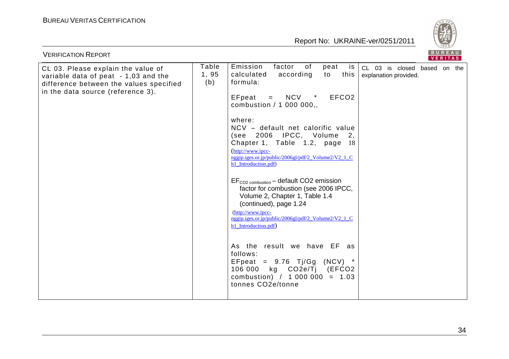

| <b>VERIFICATION REPORT</b>                                                                                                                                 |                      |                                                                                                                                                                                                                                                                                                                                                                                                                                                                                                                                                                                                                                                                                                                                                                                                                      | BUREAU<br>VERITAS                                     |
|------------------------------------------------------------------------------------------------------------------------------------------------------------|----------------------|----------------------------------------------------------------------------------------------------------------------------------------------------------------------------------------------------------------------------------------------------------------------------------------------------------------------------------------------------------------------------------------------------------------------------------------------------------------------------------------------------------------------------------------------------------------------------------------------------------------------------------------------------------------------------------------------------------------------------------------------------------------------------------------------------------------------|-------------------------------------------------------|
| CL 03. Please explain the value of<br>variable data of peat - 1,03 and the<br>difference between the values specified<br>in the data source (reference 3). | Table<br>1,95<br>(b) | Emission<br>factor<br>of<br>peat<br>is<br>calculated<br>according<br>this<br>to<br>formula:<br>$=$ NCV $*$<br>EFpeat<br>EFCO <sub>2</sub><br>combustion / 1 000 000,,<br>where:<br>NCV - default net calorific value<br>(see 2006 IPCC, Volume 2,<br>Chapter 1, Table 1.2, page 18<br>(http://www.ipcc-<br>nggip.iges.or.jp/public/2006gl/pdf/2 Volume2/V2 1 C<br>h1_Introduction.pdf)<br>$EF_{CO2~combination}$ – default CO2 emission<br>factor for combustion (see 2006 IPCC,<br>Volume 2, Chapter 1, Table 1.4<br>(continued), page 1.24<br>(http://www.ipcc-<br>nggip.iges.or.jp/public/2006gl/pdf/2 Volume2/V2 1 C<br>h1_Introduction.pdf)<br>As the result we have EF as<br>follows:<br>EFpeat = $9.76$ Tj/Gg (NCV) *<br>106 000 kg CO2e/Tj (EFCO2<br>combustion) / $1\,000\,000 = 1.03$<br>tonnes CO2e/tonne | CL 03 is closed based on the<br>explanation provided. |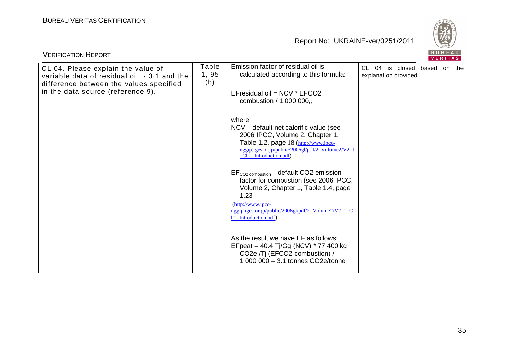

| <b>VERIFICATION REPORT</b>                                                                                                   |                      |                                                                                                                                                                                                           |                                                       | BUREAU<br>VERITAS |  |
|------------------------------------------------------------------------------------------------------------------------------|----------------------|-----------------------------------------------------------------------------------------------------------------------------------------------------------------------------------------------------------|-------------------------------------------------------|-------------------|--|
| CL 04. Please explain the value of<br>variable data of residual oil - 3,1 and the<br>difference between the values specified | Table<br>1,95<br>(b) | Emission factor of residual oil is<br>calculated according to this formula:                                                                                                                               | CL 04 is closed based on the<br>explanation provided. |                   |  |
| in the data source (reference 9).                                                                                            |                      | EFresidual oil = NCV * EFCO2<br>combustion / 1 000 000,,                                                                                                                                                  |                                                       |                   |  |
|                                                                                                                              |                      | where:<br>NCV – default net calorific value (see<br>2006 IPCC, Volume 2, Chapter 1,<br>Table 1.2, page 18 (http://www.ipcc-<br>nggip.iges.or.jp/public/2006gl/pdf/2_Volume2/V2_1<br>Ch1 Introduction.pdf) |                                                       |                   |  |
|                                                                                                                              |                      | $EF_{CO2~combination}$ – default CO2 emission<br>factor for combustion (see 2006 IPCC,<br>Volume 2, Chapter 1, Table 1.4, page<br>1.23                                                                    |                                                       |                   |  |
|                                                                                                                              |                      | $(http://www.ipcc-$<br>nggip.iges.or.jp/public/2006gl/pdf/2_Volume2/V2_1_C<br>h1_Introduction.pdf)                                                                                                        |                                                       |                   |  |
|                                                                                                                              |                      | As the result we have EF as follows:<br>EFpeat = 40.4 Tj/Gg (NCV) * 77 400 kg<br>CO2e /Tj (EFCO2 combustion) /<br>1 000 000 = $3.1$ tonnes CO2e/tonne                                                     |                                                       |                   |  |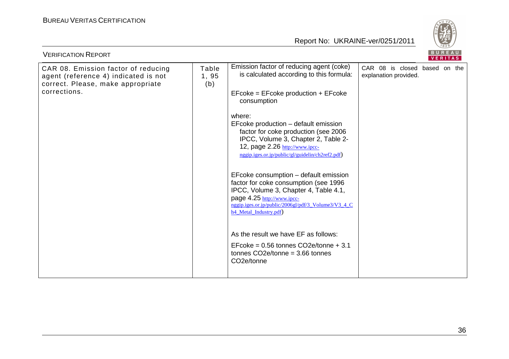

| <b>VERIFICATION REPORT</b>                                                                                       |                       |                                                                                                                                                                                                                                                    |                                                        | BUREAU | <b>VERITAS</b> |  |
|------------------------------------------------------------------------------------------------------------------|-----------------------|----------------------------------------------------------------------------------------------------------------------------------------------------------------------------------------------------------------------------------------------------|--------------------------------------------------------|--------|----------------|--|
| CAR 08. Emission factor of reducing<br>agent (reference 4) indicated is not<br>correct. Please, make appropriate | Table<br>1, 95<br>(b) | Emission factor of reducing agent (coke)<br>is calculated according to this formula:                                                                                                                                                               | CAR 08 is closed based on the<br>explanation provided. |        |                |  |
| corrections.                                                                                                     |                       | EFcoke = EFcoke production + EFcoke<br>consumption                                                                                                                                                                                                 |                                                        |        |                |  |
|                                                                                                                  |                       | where:<br>EFcoke production - default emission<br>factor for coke production (see 2006<br>IPCC, Volume 3, Chapter 2, Table 2-<br>12, page 2.26 http://www.ipcc-<br>nggip.iges.or.jp/public/gl/guidelin/ch2ref2.pdf)                                |                                                        |        |                |  |
|                                                                                                                  |                       | EFcoke consumption – default emission<br>factor for coke consumption (see 1996<br>IPCC, Volume 3, Chapter 4, Table 4.1,<br>page 4.25 http://www.ipcc-<br>nggip.iges.or.jp/public/2006gl/pdf/3_Volume3/V3_4_C<br>h <sub>4</sub> Metal Industry.pdf) |                                                        |        |                |  |
|                                                                                                                  |                       | As the result we have EF as follows:<br>EFcoke = $0.56$ tonnes CO2e/tonne + 3.1<br>tonnes $CO2e/tonne = 3.66$ tonnes<br>CO2e/tonne                                                                                                                 |                                                        |        |                |  |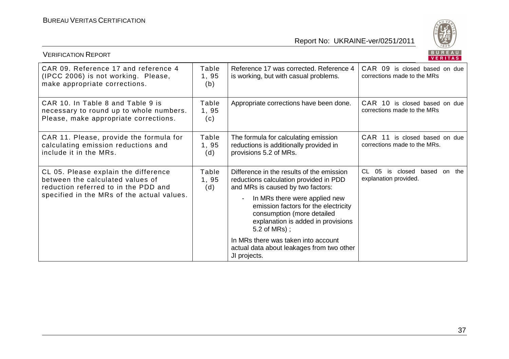

| , LINI IUATIURI ILLI UR                                                                                                                                        |                      |                                                                                                                                                                                                                                                                                                                                                  | VERITAS                                                               |
|----------------------------------------------------------------------------------------------------------------------------------------------------------------|----------------------|--------------------------------------------------------------------------------------------------------------------------------------------------------------------------------------------------------------------------------------------------------------------------------------------------------------------------------------------------|-----------------------------------------------------------------------|
| CAR 09. Reference 17 and reference 4<br>(IPCC 2006) is not working. Please,<br>make appropriate corrections.                                                   | Table<br>1,95<br>(b) | Reference 17 was corrected. Reference 4<br>is working, but with casual problems.                                                                                                                                                                                                                                                                 | CAR 09 is closed based on due<br>corrections made to the MRs          |
| CAR 10. In Table 8 and Table 9 is<br>necessary to round up to whole numbers.<br>Please, make appropriate corrections.                                          | Table<br>1,95<br>(c) | Appropriate corrections have been done.                                                                                                                                                                                                                                                                                                          | CAR 10 is closed based on due<br>corrections made to the MRs          |
| CAR 11. Please, provide the formula for<br>calculating emission reductions and<br>include it in the MRs.                                                       | Table<br>1,95<br>(d) | The formula for calculating emission<br>reductions is additionally provided in<br>provisions 5.2 of MRs.                                                                                                                                                                                                                                         | CAR 11 is closed based on due<br>corrections made to the MRs.         |
| CL 05. Please explain the difference<br>between the calculated values of<br>reduction referred to in the PDD and<br>specified in the MRs of the actual values. | Table<br>1,95<br>(d) | Difference in the results of the emission<br>reductions calculation provided in PDD<br>and MRs is caused by two factors:<br>In MRs there were applied new<br>$\blacksquare$<br>emission factors for the electricity<br>consumption (more detailed<br>explanation is added in provisions<br>$5.2$ of MRs);<br>In MRs there was taken into account | CL.<br>05<br>is closed<br>based<br>the<br>on<br>explanation provided. |
|                                                                                                                                                                |                      | actual data about leakages from two other<br>JI projects.                                                                                                                                                                                                                                                                                        |                                                                       |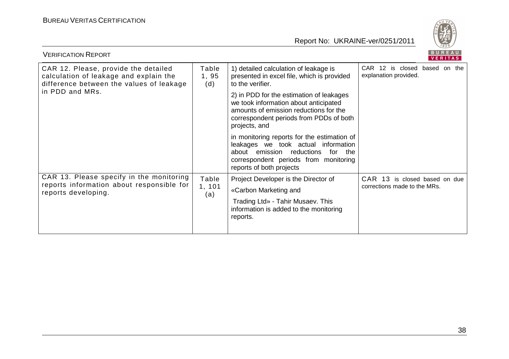

| <b>VERIFICATION REPORT</b>                                                                                                                    |                        |                                                                                                                                                                                                 |                                                               | BUREAU<br><b>VERITAS</b> |  |  |
|-----------------------------------------------------------------------------------------------------------------------------------------------|------------------------|-------------------------------------------------------------------------------------------------------------------------------------------------------------------------------------------------|---------------------------------------------------------------|--------------------------|--|--|
| CAR 12. Please, provide the detailed<br>calculation of leakage and explain the<br>difference between the values of leakage<br>in PDD and MRs. | Table<br>1,95<br>(d)   | 1) detailed calculation of leakage is<br>presented in excel file, which is provided<br>to the verifier.                                                                                         | CAR 12 is closed based on the<br>explanation provided.        |                          |  |  |
|                                                                                                                                               |                        | 2) in PDD for the estimation of leakages<br>we took information about anticipated<br>amounts of emission reductions for the<br>correspondent periods from PDDs of both<br>projects, and         |                                                               |                          |  |  |
|                                                                                                                                               |                        | in monitoring reports for the estimation of<br>leakages we took actual information<br>about emission reductions<br>for the<br>correspondent periods from monitoring<br>reports of both projects |                                                               |                          |  |  |
| CAR 13. Please specify in the monitoring<br>reports information about responsible for<br>reports developing.                                  | Table<br>1, 101<br>(a) | Project Developer is the Director of                                                                                                                                                            | CAR 13 is closed based on due<br>corrections made to the MRs. |                          |  |  |
|                                                                                                                                               |                        | «Carbon Marketing and                                                                                                                                                                           |                                                               |                          |  |  |
|                                                                                                                                               |                        | Trading Ltd» - Tahir Musaev. This<br>information is added to the monitoring<br>reports.                                                                                                         |                                                               |                          |  |  |
|                                                                                                                                               |                        |                                                                                                                                                                                                 |                                                               |                          |  |  |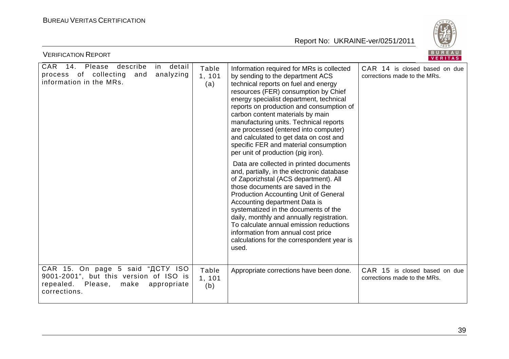

| <b>VERIFICATION REPORT</b>                                                                                                                |                        |                                                                                                                                                                                                                                                                                                                                                                                                                                                                                                                                                                                                                                                                                                                                                                                                                                                                                             | BUREAU<br>VERITAS                                             |
|-------------------------------------------------------------------------------------------------------------------------------------------|------------------------|---------------------------------------------------------------------------------------------------------------------------------------------------------------------------------------------------------------------------------------------------------------------------------------------------------------------------------------------------------------------------------------------------------------------------------------------------------------------------------------------------------------------------------------------------------------------------------------------------------------------------------------------------------------------------------------------------------------------------------------------------------------------------------------------------------------------------------------------------------------------------------------------|---------------------------------------------------------------|
| <b>CAR</b><br>14.<br>Please<br>describe<br>detail<br>in<br>of collecting<br>analyzing<br>process<br>and<br>information in the MRs.        | Table<br>1, 101<br>(a) | Information required for MRs is collected<br>by sending to the department ACS<br>technical reports on fuel and energy<br>resources (FER) consumption by Chief<br>energy specialist department, technical<br>reports on production and consumption of<br>carbon content materials by main<br>manufacturing units. Technical reports<br>are processed (entered into computer)<br>and calculated to get data on cost and<br>specific FER and material consumption<br>per unit of production (pig iron).<br>Data are collected in printed documents<br>and, partially, in the electronic database<br>of Zaporizhstal (ACS department). All<br>those documents are saved in the<br><b>Production Accounting Unit of General</b><br>Accounting department Data is<br>systematized in the documents of the<br>daily, monthly and annually registration.<br>To calculate annual emission reductions | CAR 14 is closed based on due<br>corrections made to the MRs. |
|                                                                                                                                           |                        | information from annual cost price<br>calculations for the correspondent year is<br>used.                                                                                                                                                                                                                                                                                                                                                                                                                                                                                                                                                                                                                                                                                                                                                                                                   |                                                               |
| CAR 15. On page 5 said "ACTY ISO<br>9001-2001", but this version of ISO is<br>repealed.<br>Please,<br>make<br>appropriate<br>corrections. | Table<br>1, 101<br>(b) | Appropriate corrections have been done.                                                                                                                                                                                                                                                                                                                                                                                                                                                                                                                                                                                                                                                                                                                                                                                                                                                     | CAR 15 is closed based on due<br>corrections made to the MRs. |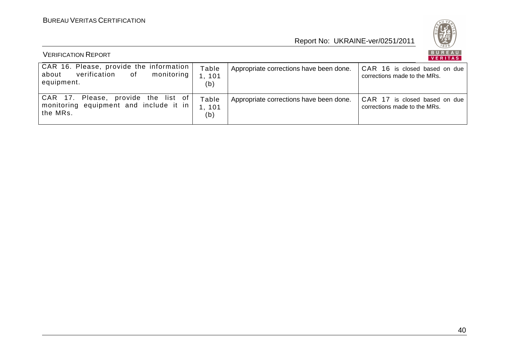

| <b>VERIFICATION REPORT</b>                                                                        |                        |                                         |                                                               |
|---------------------------------------------------------------------------------------------------|------------------------|-----------------------------------------|---------------------------------------------------------------|
| CAR 16. Please, provide the information<br>verification of<br>monitoring  <br>about<br>equipment. | Table<br>, 101<br>(b)  | Appropriate corrections have been done. | CAR 16 is closed based on due<br>corrections made to the MRs. |
| CAR 17. Please, provide the list of<br>monitoring equipment and include it in<br>the MRs.         | Table<br>1, 101<br>(b) | Appropriate corrections have been done. | CAR 17 is closed based on due<br>corrections made to the MRs. |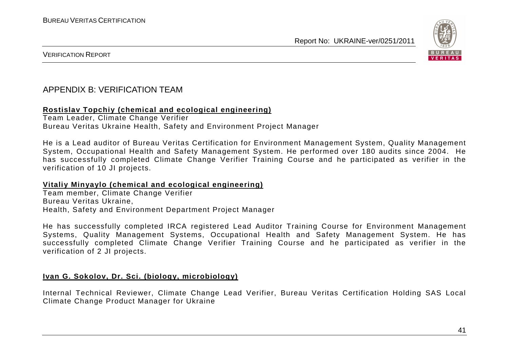

VERIFICATION REPORT

#### APPENDIX B: VERIFICATION TEAM

#### **Rostislav Topchiy (chemical and ecological engineering)**

Team Leader, Climate Change Verifier Bureau Veritas Ukraine Health, Safety and Environment Project Manager

He is a Lead auditor of Bureau Veritas Certification for Environment Management System, Quality Management System, Occupational Health and Safety Management System. He performed over 180 audits since 2004. He has successfully completed Climate Change Verifier Training Course and he participated as verifier in the verification of 10 JI projects.

#### **Vitaliy Minyaylo (chemical and ecological engineering)**

Team member, Climate Change Verifier Bureau Veritas Ukraine, Health, Safety and Environment Department Project Manager

He has successfully completed IRCA registered Lead Auditor Training Course for Environment Management Systems, Quality Management Systems, Occupational Health and Safety Management System. He has successfully completed Climate Change Verifier Training Course and he participated as verifier in the verification of 2 JI projects.

#### **Ivan G. Sokolov, Dr. Sci. (biology, microbiology)**

Internal Technical Reviewer, Climate Change Lead Verifier, Bureau Veritas Certification Holding SAS Local Climate Change Product Manager for Ukraine